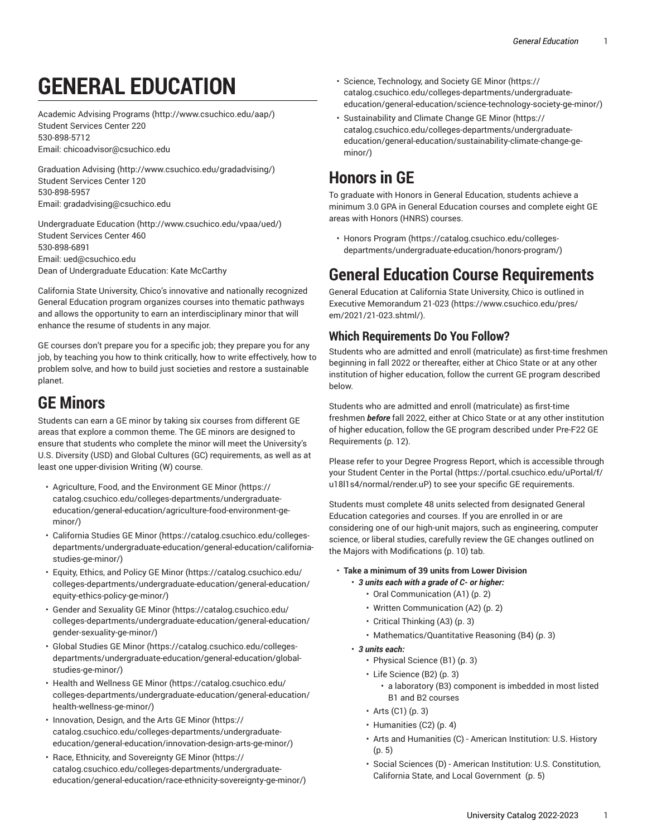# **GENERAL EDUCATION**

[Academic](http://www.csuchico.edu/aap/) Advising Programs ([http://www.csuchico.edu/aap/\)](http://www.csuchico.edu/aap/) Student Services Center 220 [530-898-5712](tel:530-898-5712) Email: [chicoadvisor@csuchico.edu](mailto:chicoadvisor@csuchico.edu)

[Graduation Advising](http://www.csuchico.edu/gradadvising/) ([http://www.csuchico.edu/gradadvising/\)](http://www.csuchico.edu/gradadvising/) Student Services Center 120 [530-898-5957](tel:530-898-5957) Email: [gradadvising@csuchico.edu](mailto:gradadvising@csuchico.edu)

[Undergraduate](http://www.csuchico.edu/vpaa/ued/) Education [\(http://www.csuchico.edu/vpaa/ued/\)](http://www.csuchico.edu/vpaa/ued/) Student Services Center 460 [530-898-6891](tel:530-898-6891) Email: [ued@csuchico.edu](mailto:ued@csuchico.edu) Dean of Undergraduate Education: Kate McCarthy

California State University, Chico's innovative and nationally recognized General Education program organizes courses into thematic pathways and allows the opportunity to earn an interdisciplinary minor that will enhance the resume of students in any major.

GE courses don't prepare you for a specific job; they prepare you for any job, by teaching you how to think critically, how to write effectively, how to problem solve, and how to build just societies and restore a sustainable planet.

### **GE Minors**

Students can earn a GE minor by taking six courses from different GE areas that explore a common theme. The GE minors are designed to ensure that students who complete the minor will meet the University's U.S. Diversity (USD) and Global Cultures (GC) requirements, as well as at least one upper-division Writing (W) course.

- Agriculture, Food, and the [Environment](https://catalog.csuchico.edu/colleges-departments/undergraduate-education/general-education/agriculture-food-environment-ge-minor/) GE Minor ([https://](https://catalog.csuchico.edu/colleges-departments/undergraduate-education/general-education/agriculture-food-environment-ge-minor/) [catalog.csuchico.edu/colleges-departments/undergraduate](https://catalog.csuchico.edu/colleges-departments/undergraduate-education/general-education/agriculture-food-environment-ge-minor/)[education/general-education/agriculture-food-environment-ge](https://catalog.csuchico.edu/colleges-departments/undergraduate-education/general-education/agriculture-food-environment-ge-minor/)[minor/](https://catalog.csuchico.edu/colleges-departments/undergraduate-education/general-education/agriculture-food-environment-ge-minor/))
- [California Studies GE Minor \(https://catalog.csuchico.edu/colleges](https://catalog.csuchico.edu/colleges-departments/undergraduate-education/general-education/california-studies-ge-minor/)[departments/undergraduate-education/general-education/california](https://catalog.csuchico.edu/colleges-departments/undergraduate-education/general-education/california-studies-ge-minor/)[studies-ge-minor/\)](https://catalog.csuchico.edu/colleges-departments/undergraduate-education/general-education/california-studies-ge-minor/)
- Equity, [Ethics,](https://catalog.csuchico.edu/colleges-departments/undergraduate-education/general-education/equity-ethics-policy-ge-minor/) and Policy GE Minor [\(https://catalog.csuchico.edu/](https://catalog.csuchico.edu/colleges-departments/undergraduate-education/general-education/equity-ethics-policy-ge-minor/) [colleges-departments/undergraduate-education/general-education/](https://catalog.csuchico.edu/colleges-departments/undergraduate-education/general-education/equity-ethics-policy-ge-minor/) [equity-ethics-policy-ge-minor/](https://catalog.csuchico.edu/colleges-departments/undergraduate-education/general-education/equity-ethics-policy-ge-minor/))
- [Gender and Sexuality GE Minor](https://catalog.csuchico.edu/colleges-departments/undergraduate-education/general-education/gender-sexuality-ge-minor/) ([https://catalog.csuchico.edu/](https://catalog.csuchico.edu/colleges-departments/undergraduate-education/general-education/gender-sexuality-ge-minor/) [colleges-departments/undergraduate-education/general-education/](https://catalog.csuchico.edu/colleges-departments/undergraduate-education/general-education/gender-sexuality-ge-minor/) [gender-sexuality-ge-minor/](https://catalog.csuchico.edu/colleges-departments/undergraduate-education/general-education/gender-sexuality-ge-minor/))
- [Global Studies GE Minor](https://catalog.csuchico.edu/colleges-departments/undergraduate-education/general-education/global-studies-ge-minor/) ([https://catalog.csuchico.edu/colleges](https://catalog.csuchico.edu/colleges-departments/undergraduate-education/general-education/global-studies-ge-minor/)[departments/undergraduate-education/general-education/global](https://catalog.csuchico.edu/colleges-departments/undergraduate-education/general-education/global-studies-ge-minor/)[studies-ge-minor/\)](https://catalog.csuchico.edu/colleges-departments/undergraduate-education/general-education/global-studies-ge-minor/)
- Health and [Wellness](https://catalog.csuchico.edu/colleges-departments/undergraduate-education/general-education/health-wellness-ge-minor/) GE Minor ([https://catalog.csuchico.edu/](https://catalog.csuchico.edu/colleges-departments/undergraduate-education/general-education/health-wellness-ge-minor/) [colleges-departments/undergraduate-education/general-education/](https://catalog.csuchico.edu/colleges-departments/undergraduate-education/general-education/health-wellness-ge-minor/) [health-wellness-ge-minor/](https://catalog.csuchico.edu/colleges-departments/undergraduate-education/general-education/health-wellness-ge-minor/))
- [Innovation,](https://catalog.csuchico.edu/colleges-departments/undergraduate-education/general-education/innovation-design-arts-ge-minor/) Design, and the Arts GE Minor [\(https://](https://catalog.csuchico.edu/colleges-departments/undergraduate-education/general-education/innovation-design-arts-ge-minor/) [catalog.csuchico.edu/colleges-departments/undergraduate](https://catalog.csuchico.edu/colleges-departments/undergraduate-education/general-education/innovation-design-arts-ge-minor/)[education/general-education/innovation-design-arts-ge-minor/\)](https://catalog.csuchico.edu/colleges-departments/undergraduate-education/general-education/innovation-design-arts-ge-minor/)
- Race, Ethnicity, and [Sovereignty](https://catalog.csuchico.edu/colleges-departments/undergraduate-education/general-education/race-ethnicity-sovereignty-ge-minor/) GE Minor ([https://](https://catalog.csuchico.edu/colleges-departments/undergraduate-education/general-education/race-ethnicity-sovereignty-ge-minor/) [catalog.csuchico.edu/colleges-departments/undergraduate](https://catalog.csuchico.edu/colleges-departments/undergraduate-education/general-education/race-ethnicity-sovereignty-ge-minor/)[education/general-education/race-ethnicity-sovereignty-ge-minor/](https://catalog.csuchico.edu/colleges-departments/undergraduate-education/general-education/race-ethnicity-sovereignty-ge-minor/))
- Science, [Technology,](https://catalog.csuchico.edu/colleges-departments/undergraduate-education/general-education/science-technology-society-ge-minor/) and Society GE Minor ([https://](https://catalog.csuchico.edu/colleges-departments/undergraduate-education/general-education/science-technology-society-ge-minor/) [catalog.csuchico.edu/colleges-departments/undergraduate](https://catalog.csuchico.edu/colleges-departments/undergraduate-education/general-education/science-technology-society-ge-minor/)[education/general-education/science-technology-society-ge-minor/\)](https://catalog.csuchico.edu/colleges-departments/undergraduate-education/general-education/science-technology-society-ge-minor/)
- [Sustainability and Climate Change GE Minor \(https://](https://catalog.csuchico.edu/colleges-departments/undergraduate-education/general-education/sustainability-climate-change-ge-minor/) [catalog.csuchico.edu/colleges-departments/undergraduate](https://catalog.csuchico.edu/colleges-departments/undergraduate-education/general-education/sustainability-climate-change-ge-minor/)[education/general-education/sustainability-climate-change-ge](https://catalog.csuchico.edu/colleges-departments/undergraduate-education/general-education/sustainability-climate-change-ge-minor/)[minor/\)](https://catalog.csuchico.edu/colleges-departments/undergraduate-education/general-education/sustainability-climate-change-ge-minor/)

# **Honors in GE**

To graduate with Honors in General Education, students achieve a minimum 3.0 GPA in General Education courses and complete eight GE areas with Honors (HNRS) courses.

• Honors [Program \(https://catalog.csuchico.edu/colleges](https://catalog.csuchico.edu/colleges-departments/undergraduate-education/honors-program/)[departments/undergraduate-education/honors-program/\)](https://catalog.csuchico.edu/colleges-departments/undergraduate-education/honors-program/)

### **General Education Course Requirements**

General Education at California State University, Chico is outlined in Executive [Memorandum](https://www.csuchico.edu/pres/em/2021/21-023.shtml/) 21-023 ([https://www.csuchico.edu/pres/](https://www.csuchico.edu/pres/em/2021/21-023.shtml/) [em/2021/21-023.shtml/\)](https://www.csuchico.edu/pres/em/2021/21-023.shtml/).

### **Which Requirements Do You Follow?**

Students who are admitted and enroll (matriculate) as first-time freshmen beginning in fall 2022 or thereafter, either at Chico State or at any other institution of higher education, follow the current GE program described below.

Students who are admitted and enroll (matriculate) as first-time freshmen *before* fall 2022, either at Chico State or at any other institution of higher education, follow the GE program described under [Pre-F22](#page-11-0) GE [Requirements \(p. 12\)](#page-11-0).

Please refer to your Degree Progress Report, which is accessible through your Student Center in the [Portal \(https://portal.csuchico.edu/uPortal/f/](https://portal.csuchico.edu/uPortal/f/u18l1s4/normal/render.uP) [u18l1s4/normal/render.uP](https://portal.csuchico.edu/uPortal/f/u18l1s4/normal/render.uP)) to see your specific GE requirements.

Students must complete 48 units selected from designated General Education categories and courses. If you are enrolled in or are considering one of our high-unit majors, such as engineering, computer science, or liberal studies, carefully review the GE changes outlined on the [Majors with Modifications](#page-9-0) [\(p. 10\)](#page-9-0) tab.

#### • **Take a minimum of 39 units from Lower Division**

- *3 units each with a grade of C- or higher:*
	- [Oral Communication \(A1\)](#page-1-0) ([p. 2\)](#page-1-0)
	- Written [Communication](#page-1-1) (A2) [\(p. 2](#page-1-1))
	- [Critical Thinking \(A3\) \(p. 3](#page-2-0))
	- [Mathematics/Quantitative](#page-2-1) Reasoning (B4) ([p. 3](#page-2-1))
- *3 units each:* 
	- [Physical Science \(B1\)](#page-2-2) ([p. 3](#page-2-2))
	- Life [Science](#page-2-3) (B2) ([p. 3\)](#page-2-3)
		- a laboratory (B3) component is imbedded in most listed B1 and B2 courses
	- $\cdot$  [Arts](#page-2-4) (C1) ([p. 3\)](#page-2-4)
	- [Humanities \(C2\) \(p. 4](#page-3-0))
	- Arts and Humanities (C) American [Institution:](#page-4-0) U.S. History [\(p. 5](#page-4-0))
	- Social Sciences (D) [American Institution: U.S. Constitution,](#page-4-1) California State, and Local [Government](#page-4-1) [\(p. 5](#page-4-1))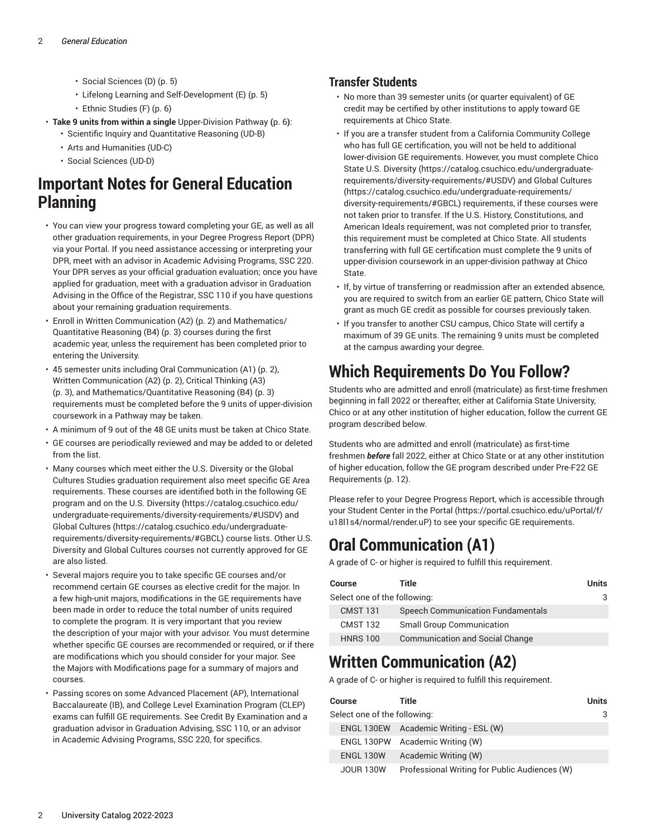- [Social Sciences \(D\)](#page-4-2) [\(p. 5](#page-4-2))
- Lifelong Learning and [Self-Development](#page-4-3) (E) ([p. 5\)](#page-4-3)
- [Ethnic Studies \(F\)](#page-5-0) ([p. 6\)](#page-5-0)
- **Take 9 units from within a single** [Upper-Division](#page-5-1) Pathway **(**[p. 6](#page-5-1)**)**: • Scientific Inquiry and Quantitative Reasoning (UD-B)
	- Arts and Humanities (UD-C)
	- Social Sciences (UD-D)

## **Important Notes for General Education Planning**

- You can view your progress toward completing your GE, as well as all other graduation requirements, in your Degree Progress Report (DPR) via your Portal. If you need assistance accessing or interpreting your DPR, meet with an advisor in Academic Advising Programs, SSC 220. Your DPR serves as your official graduation evaluation; once you have applied for graduation, meet with a graduation advisor in Graduation Advising in the Office of the Registrar, SSC 110 if you have questions about your remaining graduation requirements.
- Enroll in Written [Communication](#page-1-1) (A2) ([p. 2\)](#page-1-1) and [Mathematics/](#page-2-1) [Quantitative](#page-2-1) Reasoning (B4) ([p. 3\)](#page-2-1) courses during the first academic year, unless the requirement has been completed prior to entering the University.
- 45 semester units including [Oral Communication \(A1\)](#page-1-0) ([p. 2\)](#page-1-0), Written [Communication](#page-1-1) (A2) ([p. 2\)](#page-1-1), [Critical Thinking \(A3\)](#page-2-0) ([p. 3\)](#page-2-0), and [Mathematics/Quantitative](#page-2-1) Reasoning (B4) ([p. 3](#page-2-1)) requirements must be completed before the 9 units of upper-division coursework in a Pathway may be taken.
- A minimum of 9 out of the 48 GE units must be taken at Chico State.
- GE courses are periodically reviewed and may be added to or deleted from the list.
- Many courses which meet either the U.S. Diversity or the Global Cultures Studies graduation requirement also meet specific GE Area requirements. These courses are identified both in the following GE program and on the U.S. [Diversity](https://catalog.csuchico.edu/undergraduate-requirements/diversity-requirements/#USDV) ([https://catalog.csuchico.edu/](https://catalog.csuchico.edu/undergraduate-requirements/diversity-requirements/#USDV) [undergraduate-requirements/diversity-requirements/#USDV\)](https://catalog.csuchico.edu/undergraduate-requirements/diversity-requirements/#USDV) and Global [Cultures](https://catalog.csuchico.edu/undergraduate-requirements/diversity-requirements/#GBCL) ([https://catalog.csuchico.edu/undergraduate](https://catalog.csuchico.edu/undergraduate-requirements/diversity-requirements/#GBCL)[requirements/diversity-requirements/#GBCL](https://catalog.csuchico.edu/undergraduate-requirements/diversity-requirements/#GBCL)) course lists. Other U.S. Diversity and Global Cultures courses not currently approved for GE are also listed.
- Several majors require you to take specific GE courses and/or recommend certain GE courses as elective credit for the major. In a few high-unit majors, modifications in the GE requirements have been made in order to reduce the total number of units required to complete the program. It is very important that you review the description of your major with your advisor. You must determine whether specific GE courses are recommended or required, or if there are modifications which you should consider for your major. See the Majors with Modifications page for a summary of majors and courses.
- Passing scores on some Advanced Placement (AP), International Baccalaureate (IB), and College Level Examination Program (CLEP) exams can fulfill GE requirements. See Credit By Examination and a graduation advisor in Graduation Advising, SSC 110, or an advisor in Academic Advising Programs, SSC 220, for specifics.

### **Transfer Students**

- No more than 39 semester units (or quarter equivalent) of GE credit may be certified by other institutions to apply toward GE requirements at Chico State.
- If you are a transfer student from a California Community College who has full GE certification, you will not be held to additional lower-division GE requirements. However, you must complete Chico State U.S. [Diversity](https://catalog.csuchico.edu/undergraduate-requirements/diversity-requirements/#USDV) ([https://catalog.csuchico.edu/undergraduate](https://catalog.csuchico.edu/undergraduate-requirements/diversity-requirements/#USDV)[requirements/diversity-requirements/#USDV](https://catalog.csuchico.edu/undergraduate-requirements/diversity-requirements/#USDV)) and Global [Cultures](https://catalog.csuchico.edu/undergraduate-requirements/diversity-requirements/#GBCL) [\(https://catalog.csuchico.edu/undergraduate-requirements/](https://catalog.csuchico.edu/undergraduate-requirements/diversity-requirements/#GBCL) [diversity-requirements/#GBCL\)](https://catalog.csuchico.edu/undergraduate-requirements/diversity-requirements/#GBCL) requirements, if these courses were not taken prior to transfer. If the U.S. History, Constitutions, and American Ideals requirement, was not completed prior to transfer, this requirement must be completed at Chico State. All students transferring with full GE certification must complete the 9 units of upper-division coursework in an upper-division pathway at Chico State.
- If, by virtue of transferring or readmission after an extended absence, you are required to switch from an earlier GE pattern, Chico State will grant as much GE credit as possible for courses previously taken.
- If you transfer to another CSU campus, Chico State will certify a maximum of 39 GE units. The remaining 9 units must be completed at the campus awarding your degree.

# **Which Requirements Do You Follow?**

Students who are admitted and enroll (matriculate) as first-time freshmen beginning in fall 2022 or thereafter, either at California State University, Chico or at any other institution of higher education, follow the current GE program described below.

Students who are admitted and enroll (matriculate) as first-time freshmen *before* fall 2022, either at Chico State or at any other institution of higher education, follow the GE program described under [Pre-F22](#page-11-0) GE [Requirements \(p. 12\)](#page-11-0).

Please refer to your Degree Progress Report, which is accessible through your Student Center in the [Portal \(https://portal.csuchico.edu/uPortal/f/](https://portal.csuchico.edu/uPortal/f/u18l1s4/normal/render.uP) [u18l1s4/normal/render.uP](https://portal.csuchico.edu/uPortal/f/u18l1s4/normal/render.uP)) to see your specific GE requirements.

# <span id="page-1-0"></span>**Oral Communication (A1)**

A grade of C- or higher is required to fulfill this requirement.

| <b>Course</b>                | Title                                    | Units |
|------------------------------|------------------------------------------|-------|
| Select one of the following: |                                          | 3.    |
| <b>CMST 131</b>              | <b>Speech Communication Fundamentals</b> |       |
| <b>CMST 132</b>              | <b>Small Group Communication</b>         |       |
| <b>HNRS 100</b>              | <b>Communication and Social Change</b>   |       |

# <span id="page-1-1"></span>**Written Communication (A2)**

A grade of C- or higher is required to fulfill this requirement.

| <b>Course</b>                | Title                                         | <b>Units</b> |
|------------------------------|-----------------------------------------------|--------------|
| Select one of the following: |                                               |              |
| ENGL 130EW                   | Academic Writing - ESL (W)                    |              |
| ENGL 130PW                   | Academic Writing (W)                          |              |
| <b>ENGL 130W</b>             | Academic Writing (W)                          |              |
| <b>JOUR 130W</b>             | Professional Writing for Public Audiences (W) |              |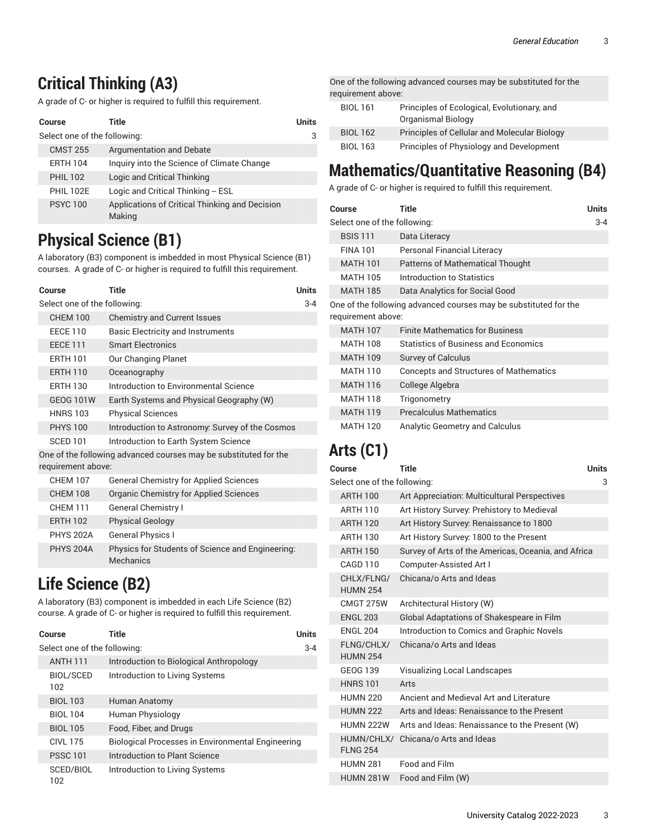# <span id="page-2-0"></span>**Critical Thinking (A3)**

A grade of C- or higher is required to fulfill this requirement.

|                              | Course           | Title                                                    | <b>Units</b> |
|------------------------------|------------------|----------------------------------------------------------|--------------|
| Select one of the following: |                  |                                                          | 3            |
|                              | <b>CMST 255</b>  | Argumentation and Debate                                 |              |
|                              | <b>ERTH 104</b>  | Inquiry into the Science of Climate Change               |              |
|                              | <b>PHIL 102</b>  | Logic and Critical Thinking                              |              |
|                              | <b>PHII 102F</b> | Logic and Critical Thinking - ESL                        |              |
|                              | <b>PSYC 100</b>  | Applications of Critical Thinking and Decision<br>Making |              |

# <span id="page-2-2"></span>**Physical Science (B1)**

A laboratory (B3) component is imbedded in most Physical Science (B1) courses. A grade of C- or higher is required to fulfill this requirement.

| Course                                                                                 | <b>Title</b>                                                  | <b>Units</b> |
|----------------------------------------------------------------------------------------|---------------------------------------------------------------|--------------|
| Select one of the following:                                                           |                                                               | $3 - 4$      |
| <b>CHEM 100</b>                                                                        | <b>Chemistry and Current Issues</b>                           |              |
| <b>EECE 110</b>                                                                        | <b>Basic Electricity and Instruments</b>                      |              |
| <b>FFCF 111</b>                                                                        | <b>Smart Flectronics</b>                                      |              |
| <b>FRTH 101</b>                                                                        | Our Changing Planet                                           |              |
| <b>ERTH 110</b>                                                                        | Oceanography                                                  |              |
| <b>ERTH 130</b>                                                                        | Introduction to Environmental Science                         |              |
| <b>GEOG 101W</b>                                                                       | Earth Systems and Physical Geography (W)                      |              |
| <b>HNRS 103</b>                                                                        | <b>Physical Sciences</b>                                      |              |
| <b>PHYS 100</b>                                                                        | Introduction to Astronomy: Survey of the Cosmos               |              |
| <b>SCED 101</b>                                                                        | Introduction to Earth System Science                          |              |
| One of the following advanced courses may be substituted for the<br>requirement above: |                                                               |              |
| <b>CHEM 107</b>                                                                        | <b>General Chemistry for Applied Sciences</b>                 |              |
| <b>CHEM 108</b>                                                                        | Organic Chemistry for Applied Sciences                        |              |
| <b>CHEM 111</b>                                                                        | <b>General Chemistry I</b>                                    |              |
| <b>ERTH 102</b>                                                                        | <b>Physical Geology</b>                                       |              |
| <b>PHYS 202A</b>                                                                       | <b>General Physics I</b>                                      |              |
| <b>PHYS 204A</b>                                                                       | Physics for Students of Science and Engineering:<br>Mechanics |              |

# <span id="page-2-3"></span>**Life Science (B2)**

A laboratory (B3) component is imbedded in each Life Science (B2) course. A grade of C- or higher is required to fulfill this requirement.

| Course                       | Title                                             | <b>Units</b> |
|------------------------------|---------------------------------------------------|--------------|
| Select one of the following: |                                                   | $3 - 4$      |
| <b>ANTH 111</b>              | Introduction to Biological Anthropology           |              |
| <b>BIOL/SCED</b><br>102      | Introduction to Living Systems                    |              |
| <b>BIOL 103</b>              | Human Anatomy                                     |              |
| <b>BIOL 104</b>              | Human Physiology                                  |              |
| <b>BIOL 105</b>              | Food, Fiber, and Drugs                            |              |
| CIVI 175                     | Biological Processes in Environmental Engineering |              |
| <b>PSSC 101</b>              | Introduction to Plant Science                     |              |
| SCED/BIOL<br>102             | Introduction to Living Systems                    |              |

One of the following advanced courses may be substituted for the requirement above:

| <b>BIOL 161</b> | Principles of Ecological, Evolutionary, and  |  |
|-----------------|----------------------------------------------|--|
|                 | Organismal Biology                           |  |
| <b>BIOL 162</b> | Principles of Cellular and Molecular Biology |  |
| <b>BIOL 163</b> | Principles of Physiology and Development     |  |

# <span id="page-2-1"></span>**Mathematics/Quantitative Reasoning (B4)**

A grade of C- or higher is required to fulfill this requirement.

|                                                                                        | Course          | <b>Title</b>                                  | Units |
|----------------------------------------------------------------------------------------|-----------------|-----------------------------------------------|-------|
| Select one of the following:                                                           |                 |                                               | 3-4   |
|                                                                                        | <b>BSIS 111</b> | Data Literacy                                 |       |
|                                                                                        | <b>FINA 101</b> | Personal Financial Literacy                   |       |
|                                                                                        | <b>MATH 101</b> | <b>Patterns of Mathematical Thought</b>       |       |
|                                                                                        | <b>MATH 105</b> | Introduction to Statistics                    |       |
|                                                                                        | <b>MATH 185</b> | Data Analytics for Social Good                |       |
| One of the following advanced courses may be substituted for the<br>requirement above: |                 |                                               |       |
|                                                                                        | <b>MATH 107</b> | <b>Finite Mathematics for Business</b>        |       |
|                                                                                        | <b>MATH 108</b> | <b>Statistics of Business and Economics</b>   |       |
|                                                                                        | <b>MATH 109</b> | <b>Survey of Calculus</b>                     |       |
|                                                                                        | <b>MATH 110</b> | <b>Concepts and Structures of Mathematics</b> |       |
|                                                                                        | <b>MATH 116</b> | College Algebra                               |       |
|                                                                                        | <b>MATH 118</b> | Trigonometry                                  |       |
|                                                                                        | <b>MATH 119</b> | <b>Precalculus Mathematics</b>                |       |
|                                                                                        | MATH 120        | Analytic Geometry and Calculus                |       |

# <span id="page-2-4"></span>**Arts (C1)**

| Course                        | Title                                               | <b>Units</b> |
|-------------------------------|-----------------------------------------------------|--------------|
| Select one of the following:  |                                                     | 3            |
| <b>ARTH 100</b>               | Art Appreciation: Multicultural Perspectives        |              |
| <b>ARTH 110</b>               | Art History Survey: Prehistory to Medieval          |              |
| <b>ARTH 120</b>               | Art History Survey: Renaissance to 1800             |              |
| ARTH 130                      | Art History Survey: 1800 to the Present             |              |
| <b>ARTH 150</b>               | Survey of Arts of the Americas, Oceania, and Africa |              |
| CAGD 110                      | Computer-Assisted Art I                             |              |
| CHLX/FLNG/<br><b>HUMN 254</b> | Chicana/o Arts and Ideas                            |              |
| CMGT 275W                     | Architectural History (W)                           |              |
| <b>ENGL 203</b>               | Global Adaptations of Shakespeare in Film           |              |
| <b>FNGI 204</b>               | Introduction to Comics and Graphic Novels           |              |
| FLNG/CHLX/<br><b>HUMN 254</b> | Chicana/o Arts and Ideas                            |              |
| GEOG 139                      | <b>Visualizing Local Landscapes</b>                 |              |
| <b>HNRS 101</b>               | Arts                                                |              |
| <b>HUMN 220</b>               | Ancient and Medieval Art and Literature             |              |
| <b>HUMN 222</b>               | Arts and Ideas: Renaissance to the Present          |              |
| HUMN 222W                     | Arts and Ideas: Renaissance to the Present (W)      |              |
| HUMN/CHLX/<br><b>FLNG 254</b> | Chicana/o Arts and Ideas                            |              |
| <b>HUMN 281</b>               | Food and Film                                       |              |
| <b>HUMN 281W</b>              | Food and Film (W)                                   |              |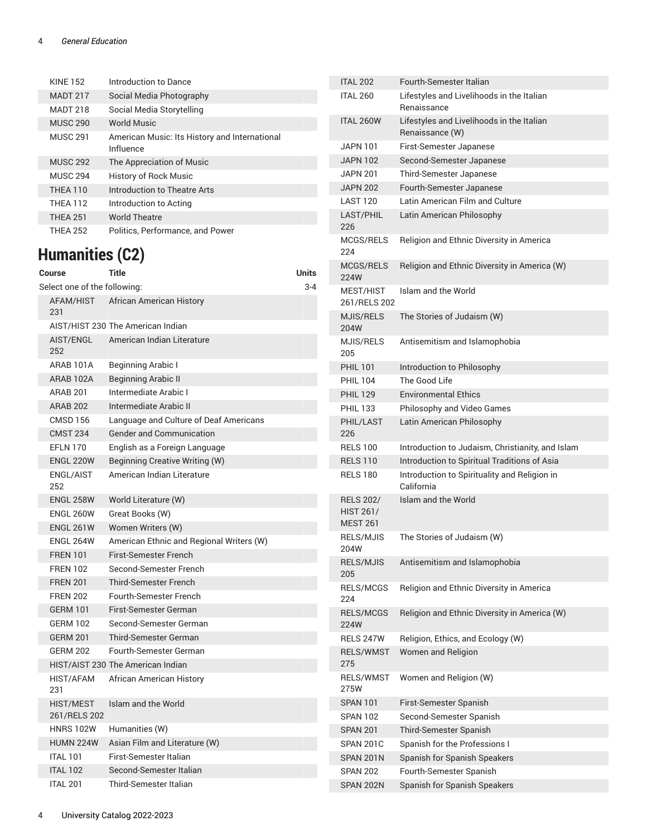#### 4 *General Education*

| <b>KINF 152</b> | Introduction to Dance                                      |
|-----------------|------------------------------------------------------------|
| <b>MADT 217</b> | Social Media Photography                                   |
| <b>MADT 218</b> | Social Media Storytelling                                  |
| <b>MUSC 290</b> | <b>World Music</b>                                         |
| <b>MUSC 291</b> | American Music: Its History and International<br>Influence |
| <b>MUSC 292</b> | The Appreciation of Music                                  |
| <b>MUSC 294</b> | <b>History of Rock Music</b>                               |
| <b>THFA 110</b> | Introduction to Theatre Arts                               |
| <b>THFA 112</b> | Introduction to Acting                                     |
| <b>THEA 251</b> | <b>World Theatre</b>                                       |
| <b>THEA 252</b> | Politics, Performance, and Power                           |

# <span id="page-3-0"></span>**Humanities (C2)**

| Course                           | <b>Title</b>                             | <b>Units</b> |
|----------------------------------|------------------------------------------|--------------|
| Select one of the following:     |                                          | 3-4          |
| 231                              | AFAM/HIST African American History       |              |
|                                  | AIST/HIST 230 The American Indian        |              |
| AIST/ENGL<br>252                 | American Indian Literature               |              |
| ARAB 101A                        | Beginning Arabic I                       |              |
| ARAB 102A                        | <b>Beginning Arabic II</b>               |              |
| <b>ARAB 201</b>                  | Intermediate Arabic I                    |              |
| <b>ARAB 202</b>                  | Intermediate Arabic II                   |              |
| <b>CMSD 156</b>                  | Language and Culture of Deaf Americans   |              |
| <b>CMST 234</b>                  | <b>Gender and Communication</b>          |              |
| <b>EFLN 170</b>                  | English as a Foreign Language            |              |
| <b>ENGL 220W</b>                 | Beginning Creative Writing (W)           |              |
| ENGL/AIST<br>252                 | American Indian Literature               |              |
| <b>ENGL 258W</b>                 | World Literature (W)                     |              |
| <b>ENGL 260W</b>                 | Great Books (W)                          |              |
| <b>ENGL 261W</b>                 | Women Writers (W)                        |              |
| <b>ENGL 264W</b>                 | American Ethnic and Regional Writers (W) |              |
| <b>FREN 101</b>                  | <b>First-Semester French</b>             |              |
| <b>FREN 102</b>                  | Second-Semester French                   |              |
| <b>FREN 201</b>                  | <b>Third-Semester French</b>             |              |
| <b>FREN 202</b>                  | <b>Fourth-Semester French</b>            |              |
| <b>GERM 101</b>                  | First-Semester German                    |              |
| <b>GERM 102</b>                  | Second-Semester German                   |              |
| <b>GERM 201</b>                  | <b>Third-Semester German</b>             |              |
| <b>GERM 202</b>                  | Fourth-Semester German                   |              |
|                                  | HIST/AIST 230 The American Indian        |              |
| HIST/AFAM<br>231                 | African American History                 |              |
| <b>HIST/MEST</b><br>261/RELS 202 | Islam and the World                      |              |
| <b>HNRS 102W</b>                 | Humanities (W)                           |              |
| <b>HUMN 224W</b>                 | Asian Film and Literature (W)            |              |
| <b>ITAL 101</b>                  | First-Semester Italian                   |              |
| <b>ITAL 102</b>                  | Second-Semester Italian                  |              |
| <b>ITAL 201</b>                  | <b>Third-Semester Italian</b>            |              |

| <b>ITAL 202</b>                                         | Fourth-Semester Italian                                      |
|---------------------------------------------------------|--------------------------------------------------------------|
| <b>ITAL 260</b>                                         | Lifestyles and Livelihoods in the Italian<br>Renaissance     |
| <b>ITAL 260W</b>                                        | Lifestyles and Livelihoods in the Italian<br>Renaissance (W) |
| <b>JAPN 101</b>                                         | First-Semester Japanese                                      |
| <b>JAPN 102</b>                                         | Second-Semester Japanese                                     |
| <b>JAPN 201</b>                                         | Third-Semester Japanese                                      |
| <b>JAPN 202</b>                                         | Fourth-Semester Japanese                                     |
| <b>LAST 120</b>                                         | Latin American Film and Culture                              |
| <b>LAST/PHIL</b><br>226                                 | Latin American Philosophy                                    |
| MCGS/RELS<br>224                                        | Religion and Ethnic Diversity in America                     |
| MCGS/RELS<br>224W                                       | Religion and Ethnic Diversity in America (W)                 |
| MEST/HIST<br>261/RELS 202                               | Islam and the World                                          |
| MJIS/RELS<br>204W                                       | The Stories of Judaism (W)                                   |
| MJIS/RELS<br>205                                        | Antisemitism and Islamophobia                                |
| <b>PHIL 101</b>                                         | Introduction to Philosophy                                   |
| <b>PHIL 104</b>                                         | The Good Life                                                |
| <b>PHIL 129</b>                                         | <b>Environmental Ethics</b>                                  |
| <b>PHIL 133</b>                                         | Philosophy and Video Games                                   |
| PHIL/LAST<br>226                                        | Latin American Philosophy                                    |
| <b>RELS 100</b>                                         | Introduction to Judaism, Christianity, and Islam             |
| <b>RELS 110</b>                                         | Introduction to Spiritual Traditions of Asia                 |
| <b>RELS 180</b>                                         | Introduction to Spirituality and Religion in<br>California   |
| <b>RELS 202/</b><br><b>HIST 261/</b><br><b>MEST 261</b> | Islam and the World                                          |
| RELS/MJIS<br>204W                                       | The Stories of Judaism (W)                                   |
| <b>RELS/MJIS</b><br>205                                 | Antisemitism and Islamophobia                                |
| RELS/MCGS<br>224                                        | Religion and Ethnic Diversity in America                     |
| RELS/MCGS<br>224W                                       | Religion and Ethnic Diversity in America (W)                 |
| RELS 247W                                               | Religion, Ethics, and Ecology (W)                            |
| <b>RELS/WMST</b><br>275                                 | Women and Religion                                           |
| RELS/WMST<br>275W                                       | Women and Religion (W)                                       |
| SPAN 101                                                | First-Semester Spanish                                       |
| <b>SPAN 102</b>                                         | Second-Semester Spanish                                      |
| <b>SPAN 201</b>                                         | Third-Semester Spanish                                       |
| <b>SPAN 201C</b>                                        | Spanish for the Professions I                                |
| SPAN 201N                                               | Spanish for Spanish Speakers                                 |
| <b>SPAN 202</b>                                         | Fourth-Semester Spanish                                      |
| SPAN 202N                                               | Spanish for Spanish Speakers                                 |
|                                                         |                                                              |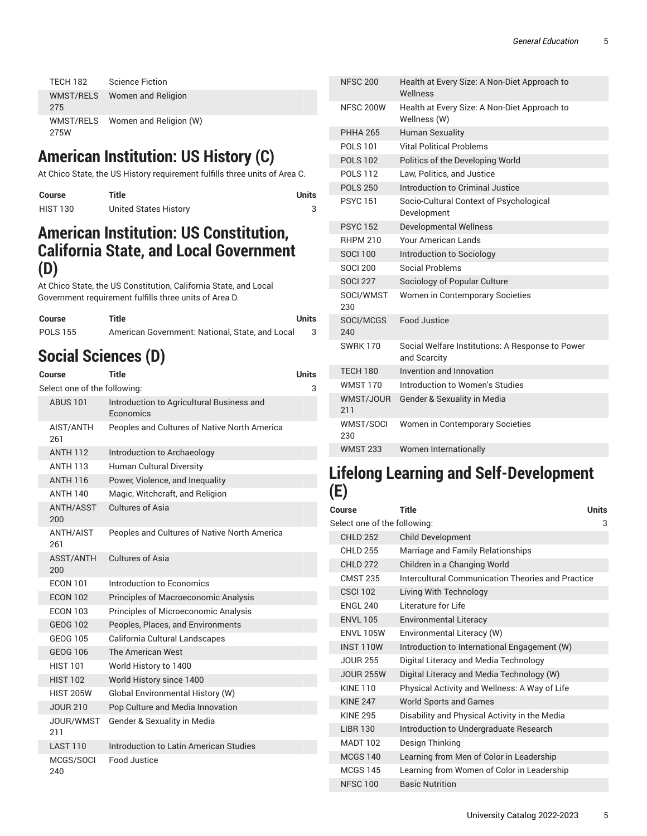| <b>TECH 182</b>   | <b>Science Fiction</b> |
|-------------------|------------------------|
| WMST/RELS<br>275  | Women and Religion     |
| WMST/RELS<br>275W | Women and Religion (W) |

# <span id="page-4-0"></span>**American Institution: US History (C)**

At Chico State, the US History requirement fulfills three units of Area C.

| Course          | Title                 | Units |
|-----------------|-----------------------|-------|
| <b>HIST 130</b> | United States History |       |

### <span id="page-4-1"></span>**American Institution: US Constitution, California State, and Local Government (D)**

At Chico State, the US Constitution, California State, and Local Government requirement fulfills three units of Area D.

| Course          | Title                                           | Units |
|-----------------|-------------------------------------------------|-------|
| <b>POLS 155</b> | American Government: National, State, and Local |       |

# <span id="page-4-2"></span>**Social Sciences (D)**

| Course                       | Title                                                  | Units |
|------------------------------|--------------------------------------------------------|-------|
| Select one of the following: |                                                        | 3     |
| <b>ABUS 101</b>              | Introduction to Agricultural Business and<br>Economics |       |
| AIST/ANTH<br>261             | Peoples and Cultures of Native North America           |       |
| <b>ANTH 112</b>              | Introduction to Archaeology                            |       |
| <b>ANTH 113</b>              | <b>Human Cultural Diversity</b>                        |       |
| <b>ANTH 116</b>              | Power, Violence, and Inequality                        |       |
| <b>ANTH 140</b>              | Magic, Witchcraft, and Religion                        |       |
| <b>ANTH/ASST</b><br>200      | Cultures of Asia                                       |       |
| <b>ANTH/AIST</b><br>261      | Peoples and Cultures of Native North America           |       |
| ASST/ANTH<br>200             | Cultures of Asia                                       |       |
| <b>FCON 101</b>              | Introduction to Economics                              |       |
| <b>ECON 102</b>              | Principles of Macroeconomic Analysis                   |       |
| <b>ECON 103</b>              | Principles of Microeconomic Analysis                   |       |
| <b>GEOG 102</b>              | Peoples, Places, and Environments                      |       |
| GEOG 105                     | California Cultural Landscapes                         |       |
| GEOG 106                     | The American West                                      |       |
| <b>HIST 101</b>              | World History to 1400                                  |       |
| <b>HIST 102</b>              | World History since 1400                               |       |
| <b>HIST 205W</b>             | Global Environmental History (W)                       |       |
| <b>JOUR 210</b>              | Pop Culture and Media Innovation                       |       |
| JOUR/WMST<br>211             | Gender & Sexuality in Media                            |       |
| <b>LAST 110</b>              | Introduction to Latin American Studies                 |       |
| MCGS/SOCI<br>240             | Food Justice                                           |       |

| <b>NFSC 200</b>  | Health at Every Size: A Non-Diet Approach to<br>Wellness         |
|------------------|------------------------------------------------------------------|
| <b>NFSC 200W</b> | Health at Every Size: A Non-Diet Approach to<br>Wellness (W)     |
| <b>PHHA 265</b>  | <b>Human Sexuality</b>                                           |
| POI S 101        | <b>Vital Political Problems</b>                                  |
| <b>POLS 102</b>  | Politics of the Developing World                                 |
| <b>POLS 112</b>  | Law, Politics, and Justice                                       |
| <b>POLS 250</b>  | Introduction to Criminal Justice                                 |
| <b>PSYC151</b>   | Socio-Cultural Context of Psychological<br>Development           |
| <b>PSYC152</b>   | <b>Developmental Wellness</b>                                    |
| <b>RHPM 210</b>  | Your American Lands                                              |
| <b>SOCI 100</b>  | Introduction to Sociology                                        |
| <b>SOCI 200</b>  | Social Problems                                                  |
| <b>SOCI 227</b>  | Sociology of Popular Culture                                     |
| SOCI/WMST<br>230 | Women in Contemporary Societies                                  |
| SOCI/MCGS<br>240 | Food Justice                                                     |
| <b>SWRK170</b>   | Social Welfare Institutions: A Response to Power<br>and Scarcity |
| <b>TECH 180</b>  | Invention and Innovation                                         |
| <b>WMST 170</b>  | Introduction to Women's Studies                                  |
| WMST/JOUR<br>211 | Gender & Sexuality in Media                                      |
| WMST/SOCI<br>230 | Women in Contemporary Societies                                  |
| <b>WMST 233</b>  | Women Internationally                                            |

### <span id="page-4-3"></span>**Lifelong Learning and Self-Development (E)**

| Course                       | <b>Title</b>                                      | <b>Units</b> |
|------------------------------|---------------------------------------------------|--------------|
| Select one of the following: |                                                   | 3            |
| <b>CHLD 252</b>              | <b>Child Development</b>                          |              |
| <b>CHLD 255</b>              | Marriage and Family Relationships                 |              |
| <b>CHLD 272</b>              | Children in a Changing World                      |              |
| <b>CMST 235</b>              | Intercultural Communication Theories and Practice |              |
| <b>CSCI 102</b>              | Living With Technology                            |              |
| <b>FNGI 240</b>              | Literature for Life                               |              |
| <b>ENVL 105</b>              | <b>Environmental Literacy</b>                     |              |
| <b>FNVI 105W</b>             | Environmental Literacy (W)                        |              |
| <b>INST 110W</b>             | Introduction to International Engagement (W)      |              |
| <b>JOUR 255</b>              | Digital Literacy and Media Technology             |              |
| <b>JOUR 255W</b>             | Digital Literacy and Media Technology (W)         |              |
| <b>KINF110</b>               | Physical Activity and Wellness: A Way of Life     |              |
| <b>KINF 247</b>              | <b>World Sports and Games</b>                     |              |
| <b>KINF 295</b>              | Disability and Physical Activity in the Media     |              |
| <b>LIBR 130</b>              | Introduction to Undergraduate Research            |              |
| <b>MADT 102</b>              | Design Thinking                                   |              |
| <b>MCGS 140</b>              | Learning from Men of Color in Leadership          |              |
| <b>MCGS 145</b>              | Learning from Women of Color in Leadership        |              |
| <b>NFSC 100</b>              | <b>Basic Nutrition</b>                            |              |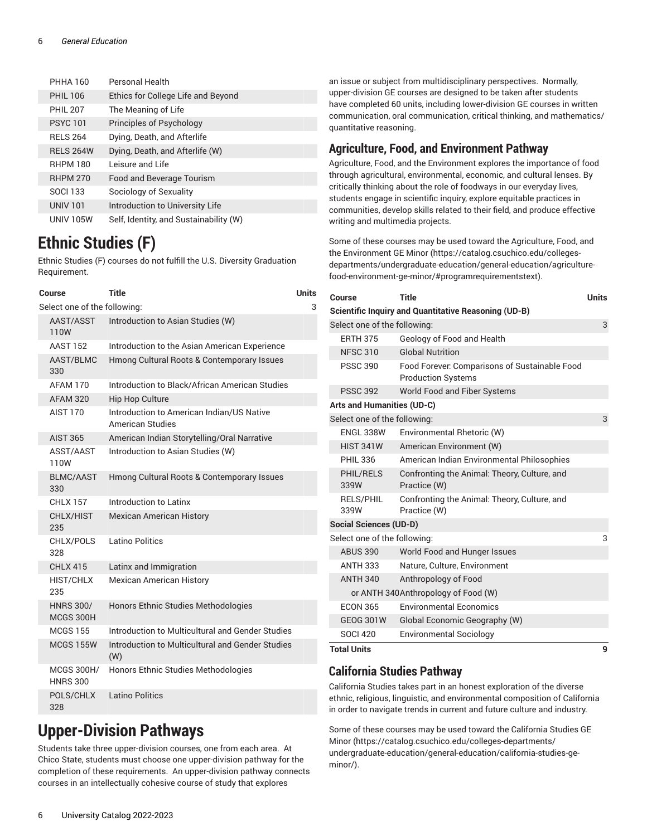#### 6 *General Education*

| <b>PHHA 160</b>  | Personal Health                        |
|------------------|----------------------------------------|
| <b>PHIL 106</b>  | Ethics for College Life and Beyond     |
| <b>PHIL 207</b>  | The Meaning of Life                    |
| <b>PSYC101</b>   | Principles of Psychology               |
| <b>RELS 264</b>  | Dying, Death, and Afterlife            |
| <b>RELS 264W</b> | Dying, Death, and Afterlife (W)        |
| <b>RHPM 180</b>  | Leisure and Life                       |
| <b>RHPM 270</b>  | Food and Beverage Tourism              |
| <b>SOCI 133</b>  | Sociology of Sexuality                 |
| <b>UNIV 101</b>  | Introduction to University Life        |
| <b>UNIV 105W</b> | Self, Identity, and Sustainability (W) |

# <span id="page-5-0"></span>**Ethnic Studies (F)**

Ethnic Studies (F) courses do not fulfill the U.S. Diversity Graduation Requirement.

| Course                               | Title                                                         | <b>Units</b> |
|--------------------------------------|---------------------------------------------------------------|--------------|
| Select one of the following:         |                                                               | 3            |
| AAST/ASST<br>110W                    | Introduction to Asian Studies (W)                             |              |
| <b>AAST 152</b>                      | Introduction to the Asian American Experience                 |              |
| AAST/BLMC<br>330                     | Hmong Cultural Roots & Contemporary Issues                    |              |
| <b>AFAM 170</b>                      | Introduction to Black/African American Studies                |              |
| <b>AFAM 320</b>                      | <b>Hip Hop Culture</b>                                        |              |
| <b>AIST 170</b>                      | Introduction to American Indian/US Native<br>American Studies |              |
| <b>AIST 365</b>                      | American Indian Storytelling/Oral Narrative                   |              |
| ASST/AAST<br>110W                    | Introduction to Asian Studies (W)                             |              |
| <b>BLMC/AAST</b><br>330              | Hmong Cultural Roots & Contemporary Issues                    |              |
| <b>CHLX 157</b>                      | Introduction to Latinx                                        |              |
| CHLX/HIST<br>235                     | <b>Mexican American History</b>                               |              |
| CHLX/POLS<br>328                     | Latino Politics                                               |              |
| <b>CHLX 415</b>                      | Latinx and Immigration                                        |              |
| HIST/CHLX<br>235                     | <b>Mexican American History</b>                               |              |
| <b>HNRS 300/</b><br>MCGS 300H        | Honors Ethnic Studies Methodologies                           |              |
| <b>MCGS 155</b>                      | Introduction to Multicultural and Gender Studies              |              |
| <b>MCGS 155W</b>                     | Introduction to Multicultural and Gender Studies<br>(W)       |              |
| <b>MCGS 300H/</b><br><b>HNRS 300</b> | Honors Ethnic Studies Methodologies                           |              |
| POLS/CHLX<br>328                     | Latino Politics                                               |              |

## <span id="page-5-1"></span>**Upper-Division Pathways**

Students take three upper-division courses, one from each area. At Chico State, students must choose one upper-division pathway for the completion of these requirements. An upper-division pathway connects courses in an intellectually cohesive course of study that explores

an issue or subject from multidisciplinary perspectives. Normally, upper-division GE courses are designed to be taken after students have completed 60 units, including lower-division GE courses in written communication, oral communication, critical thinking, and mathematics/ quantitative reasoning.

### **Agriculture, Food, and Environment Pathway**

Agriculture, Food, and the Environment explores the importance of food through agricultural, environmental, economic, and cultural lenses. By critically thinking about the role of foodways in our everyday lives, students engage in scientific inquiry, explore equitable practices in communities, develop skills related to their field, and produce effective writing and multimedia projects.

Some of these courses may be used toward the [Agriculture,](https://catalog.csuchico.edu/colleges-departments/undergraduate-education/general-education/agriculture-food-environment-ge-minor/#programrequirementstext) Food, and the [Environment](https://catalog.csuchico.edu/colleges-departments/undergraduate-education/general-education/agriculture-food-environment-ge-minor/#programrequirementstext) GE Minor ([https://catalog.csuchico.edu/colleges](https://catalog.csuchico.edu/colleges-departments/undergraduate-education/general-education/agriculture-food-environment-ge-minor/#programrequirementstext)[departments/undergraduate-education/general-education/agriculture](https://catalog.csuchico.edu/colleges-departments/undergraduate-education/general-education/agriculture-food-environment-ge-minor/#programrequirementstext)[food-environment-ge-minor/#programrequirementstext](https://catalog.csuchico.edu/colleges-departments/undergraduate-education/general-education/agriculture-food-environment-ge-minor/#programrequirementstext)).

| Course                            | Title                                                                      | <b>Units</b> |
|-----------------------------------|----------------------------------------------------------------------------|--------------|
|                                   | <b>Scientific Inquiry and Quantitative Reasoning (UD-B)</b>                |              |
| Select one of the following:      |                                                                            | 3            |
| <b>ERTH 375</b>                   | Geology of Food and Health                                                 |              |
| <b>NFSC 310</b>                   | <b>Global Nutrition</b>                                                    |              |
| <b>PSSC 390</b>                   | Food Forever: Comparisons of Sustainable Food<br><b>Production Systems</b> |              |
| <b>PSSC 392</b>                   | World Food and Fiber Systems                                               |              |
| <b>Arts and Humanities (UD-C)</b> |                                                                            |              |
| Select one of the following:      |                                                                            | 3            |
| <b>ENGL 338W</b>                  | Environmental Rhetoric (W)                                                 |              |
| <b>HIST 341W</b>                  | American Environment (W)                                                   |              |
| <b>PHIL 336</b>                   | American Indian Environmental Philosophies                                 |              |
| PHIL/RELS<br>339W                 | Confronting the Animal: Theory, Culture, and<br>Practice (W)               |              |
| <b>RELS/PHIL</b><br>339W          | Confronting the Animal: Theory, Culture, and<br>Practice (W)               |              |
| <b>Social Sciences (UD-D)</b>     |                                                                            |              |
| Select one of the following:      |                                                                            | 3            |
| <b>ABUS 390</b>                   | World Food and Hunger Issues                                               |              |
| <b>ANTH 333</b>                   | Nature, Culture, Environment                                               |              |
| <b>ANTH 340</b>                   | Anthropology of Food                                                       |              |
|                                   | or ANTH 340 Anthropology of Food (W)                                       |              |
| <b>ECON 365</b>                   | <b>Environmental Economics</b>                                             |              |
| <b>GEOG 301W</b>                  | Global Economic Geography (W)                                              |              |
| <b>SOCI 420</b>                   | <b>Environmental Sociology</b>                                             |              |
| <b>Total Units</b>                |                                                                            | 9            |

### **California Studies Pathway**

California Studies takes part in an honest exploration of the diverse ethnic, religious, linguistic, and environmental composition of California in order to navigate trends in current and future culture and industry.

Some of these courses may be used toward the [California Studies GE](https://catalog.csuchico.edu/colleges-departments/undergraduate-education/general-education/california-studies-ge-minor/) [Minor](https://catalog.csuchico.edu/colleges-departments/undergraduate-education/general-education/california-studies-ge-minor/) ([https://catalog.csuchico.edu/colleges-departments/](https://catalog.csuchico.edu/colleges-departments/undergraduate-education/general-education/california-studies-ge-minor/) [undergraduate-education/general-education/california-studies-ge](https://catalog.csuchico.edu/colleges-departments/undergraduate-education/general-education/california-studies-ge-minor/)[minor/\)](https://catalog.csuchico.edu/colleges-departments/undergraduate-education/general-education/california-studies-ge-minor/).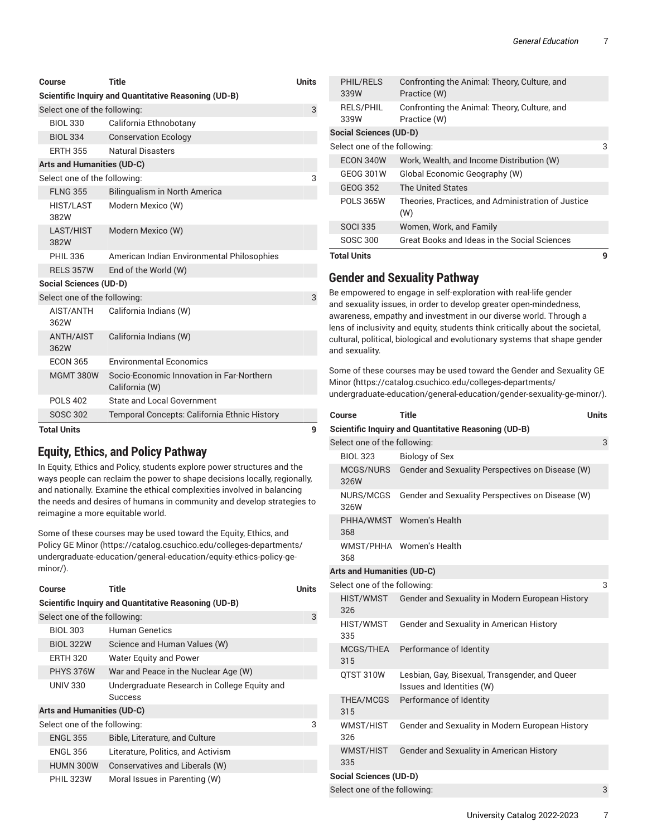| Course                            | <b>Title</b>                                                | <b>Units</b> |
|-----------------------------------|-------------------------------------------------------------|--------------|
|                                   | Scientific Inquiry and Quantitative Reasoning (UD-B)        |              |
| Select one of the following:      |                                                             | 3            |
| <b>BIOL 330</b>                   | California Ethnobotany                                      |              |
| <b>BIOL 334</b>                   | <b>Conservation Ecology</b>                                 |              |
| <b>ERTH 355</b>                   | Natural Disasters                                           |              |
| <b>Arts and Humanities (UD-C)</b> |                                                             |              |
| Select one of the following:      |                                                             | 3            |
| <b>FLNG 355</b>                   | Bilingualism in North America                               |              |
| HIST/LAST<br>382W                 | Modern Mexico (W)                                           |              |
| LAST/HIST<br>382W                 | Modern Mexico (W)                                           |              |
| <b>PHIL 336</b>                   | American Indian Environmental Philosophies                  |              |
| RELS 357W                         | End of the World (W)                                        |              |
| <b>Social Sciences (UD-D)</b>     |                                                             |              |
| Select one of the following:      |                                                             | 3            |
| AIST/ANTH<br>362W                 | California Indians (W)                                      |              |
| <b>ANTH/AIST</b><br>362W          | California Indians (W)                                      |              |
| <b>ECON 365</b>                   | <b>Environmental Economics</b>                              |              |
| <b>MGMT 380W</b>                  | Socio-Economic Innovation in Far-Northern<br>California (W) |              |
| <b>POLS 402</b>                   | <b>State and Local Government</b>                           |              |
| <b>SOSC 302</b>                   | Temporal Concepts: California Ethnic History                |              |
| <b>Total Units</b>                |                                                             | 9            |

### **Equity, Ethics, and Policy Pathway**

In Equity, Ethics and Policy, students explore power structures and the ways people can reclaim the power to shape decisions locally, regionally, and nationally. Examine the ethical complexities involved in balancing the needs and desires of humans in community and develop strategies to reimagine a more equitable world.

Some of these courses may be used toward the Equity, [Ethics,](https://catalog.csuchico.edu/colleges-departments/undergraduate-education/general-education/equity-ethics-policy-ge-minor/) and [Policy](https://catalog.csuchico.edu/colleges-departments/undergraduate-education/general-education/equity-ethics-policy-ge-minor/) GE Minor [\(https://catalog.csuchico.edu/colleges-departments/](https://catalog.csuchico.edu/colleges-departments/undergraduate-education/general-education/equity-ethics-policy-ge-minor/) [undergraduate-education/general-education/equity-ethics-policy-ge](https://catalog.csuchico.edu/colleges-departments/undergraduate-education/general-education/equity-ethics-policy-ge-minor/)[minor/](https://catalog.csuchico.edu/colleges-departments/undergraduate-education/general-education/equity-ethics-policy-ge-minor/)).

| Course                                               | Title                                        | <b>Units</b> |  |
|------------------------------------------------------|----------------------------------------------|--------------|--|
| Scientific Inquiry and Quantitative Reasoning (UD-B) |                                              |              |  |
| Select one of the following:                         |                                              | 3            |  |
| <b>BIOL 303</b>                                      | <b>Human Genetics</b>                        |              |  |
| <b>BIOL 322W</b>                                     | Science and Human Values (W)                 |              |  |
| <b>ERTH 320</b>                                      | <b>Water Equity and Power</b>                |              |  |
| PHYS 376W                                            | War and Peace in the Nuclear Age (W)         |              |  |
| <b>UNIV 330</b>                                      | Undergraduate Research in College Equity and |              |  |
|                                                      | <b>Success</b>                               |              |  |
| <b>Arts and Humanities (UD-C)</b>                    |                                              |              |  |
| Select one of the following:                         |                                              | 3            |  |
| <b>ENGL 355</b>                                      | Bible, Literature, and Culture               |              |  |
| <b>ENGL 356</b>                                      | Literature, Politics, and Activism           |              |  |
| HUMN 300W                                            | Conservatives and Liberals (W)               |              |  |
| <b>PHIL 323W</b>                                     | Moral Issues in Parenting (W)                |              |  |

| Total I Inite                 |                                                              | a |
|-------------------------------|--------------------------------------------------------------|---|
| SOSC 300                      | Great Books and Ideas in the Social Sciences                 |   |
| <b>SOCI 335</b>               | Women, Work, and Family                                      |   |
| <b>POLS 365W</b>              | Theories, Practices, and Administration of Justice<br>(W)    |   |
| GEOG 352                      | The United States                                            |   |
| GEOG 301W                     | Global Economic Geography (W)                                |   |
| ECON 340W                     | Work, Wealth, and Income Distribution (W)                    |   |
| Select one of the following:  |                                                              | 3 |
| <b>Social Sciences (UD-D)</b> |                                                              |   |
| <b>RELS/PHIL</b><br>339W      | Confronting the Animal: Theory, Culture, and<br>Practice (W) |   |
| PHIL/RELS<br>339W             | Confronting the Animal: Theory, Culture, and<br>Practice (W) |   |

**Total Units 9**

### **Gender and Sexuality Pathway**

Be empowered to engage in self-exploration with real-life gender and sexuality issues, in order to develop greater open-mindedness, awareness, empathy and investment in our diverse world. Through a lens of inclusivity and equity, students think critically about the societal, cultural, political, biological and evolutionary systems that shape gender and sexuality.

Some of these courses may be used toward the [Gender and Sexuality GE](https://catalog.csuchico.edu/colleges-departments/undergraduate-education/general-education/gender-sexuality-ge-minor/) [Minor](https://catalog.csuchico.edu/colleges-departments/undergraduate-education/general-education/gender-sexuality-ge-minor/) ([https://catalog.csuchico.edu/colleges-departments/](https://catalog.csuchico.edu/colleges-departments/undergraduate-education/general-education/gender-sexuality-ge-minor/) [undergraduate-education/general-education/gender-sexuality-ge-minor/\)](https://catalog.csuchico.edu/colleges-departments/undergraduate-education/general-education/gender-sexuality-ge-minor/).

| Course                            | <b>Title</b>                                                                | <b>Units</b> |  |
|-----------------------------------|-----------------------------------------------------------------------------|--------------|--|
|                                   | <b>Scientific Inquiry and Quantitative Reasoning (UD-B)</b>                 |              |  |
| Select one of the following:      |                                                                             | 3            |  |
| <b>BIOL 323</b>                   | <b>Biology of Sex</b>                                                       |              |  |
| MCGS/NURS<br>326W                 | Gender and Sexuality Perspectives on Disease (W)                            |              |  |
| NURS/MCGS<br>326W                 | Gender and Sexuality Perspectives on Disease (W)                            |              |  |
| 368                               | PHHA/WMST Women's Health                                                    |              |  |
| 368                               | WMST/PHHA Women's Health                                                    |              |  |
| <b>Arts and Humanities (UD-C)</b> |                                                                             |              |  |
| Select one of the following:      |                                                                             | 3            |  |
| HIST/WMST<br>326                  | Gender and Sexuality in Modern European History                             |              |  |
| HIST/WMST<br>335                  | Gender and Sexuality in American History                                    |              |  |
| MCGS/THEA<br>315                  | Performance of Identity                                                     |              |  |
| QTST 310W                         | Lesbian, Gay, Bisexual, Transgender, and Queer<br>Issues and Identities (W) |              |  |
| THEA/MCGS<br>315                  | Performance of Identity                                                     |              |  |
| WMST/HIST<br>326                  | Gender and Sexuality in Modern European History                             |              |  |
| WMST/HIST<br>335                  | Gender and Sexuality in American History                                    |              |  |
| <b>Social Sciences (UD-D)</b>     |                                                                             |              |  |
| Select one of the following:      |                                                                             | 3            |  |
|                                   |                                                                             |              |  |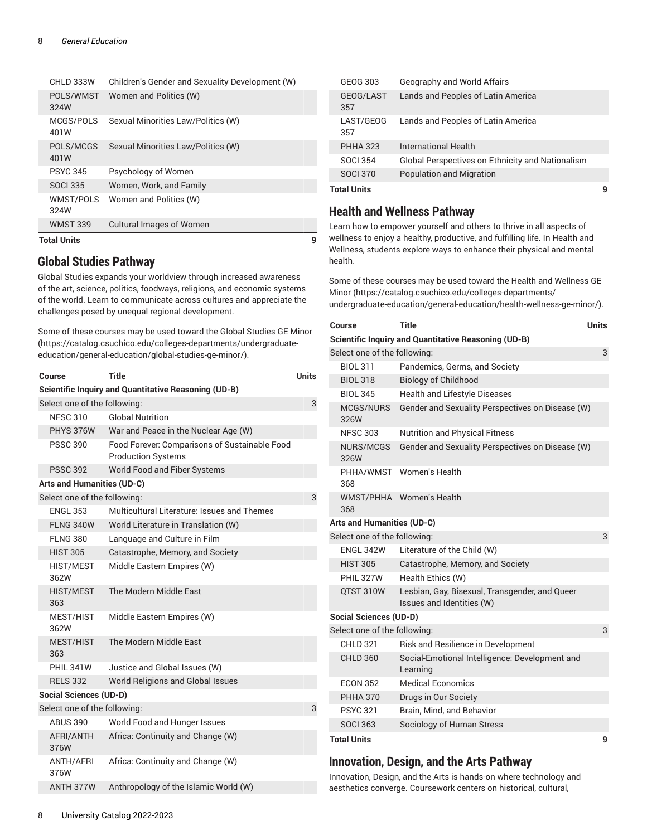| Total Units       |                                                 | g |
|-------------------|-------------------------------------------------|---|
| <b>WMST 339</b>   | <b>Cultural Images of Women</b>                 |   |
| WMST/POLS<br>324W | Women and Politics (W)                          |   |
| <b>SOCI 335</b>   | Women, Work, and Family                         |   |
| <b>PSYC 345</b>   | Psychology of Women                             |   |
| POLS/MCGS<br>401W | Sexual Minorities Law/Politics (W)              |   |
| MCGS/POLS<br>401W | Sexual Minorities Law/Politics (W)              |   |
| POLS/WMST<br>324W | Women and Politics (W)                          |   |
| CHLD 333W         | Children's Gender and Sexuality Development (W) |   |

### **Global Studies Pathway**

Global Studies expands your worldview through increased awareness of the art, science, politics, foodways, religions, and economic systems of the world. Learn to communicate across cultures and appreciate the challenges posed by unequal regional development.

Some of these courses may be used toward the [Global Studies GE Minor](https://catalog.csuchico.edu/colleges-departments/undergraduate-education/general-education/global-studies-ge-minor/) ([https://catalog.csuchico.edu/colleges-departments/undergraduate](https://catalog.csuchico.edu/colleges-departments/undergraduate-education/general-education/global-studies-ge-minor/)[education/general-education/global-studies-ge-minor/](https://catalog.csuchico.edu/colleges-departments/undergraduate-education/general-education/global-studies-ge-minor/)).

| Course                                                      | Title                                                                      | Units |  |  |
|-------------------------------------------------------------|----------------------------------------------------------------------------|-------|--|--|
| <b>Scientific Inquiry and Quantitative Reasoning (UD-B)</b> |                                                                            |       |  |  |
| Select one of the following:                                |                                                                            | 3     |  |  |
| <b>NFSC 310</b>                                             | <b>Global Nutrition</b>                                                    |       |  |  |
| PHYS 376W                                                   | War and Peace in the Nuclear Age (W)                                       |       |  |  |
| <b>PSSC 390</b>                                             | Food Forever: Comparisons of Sustainable Food<br><b>Production Systems</b> |       |  |  |
| <b>PSSC 392</b>                                             | World Food and Fiber Systems                                               |       |  |  |
| <b>Arts and Humanities (UD-C)</b>                           |                                                                            |       |  |  |
| Select one of the following:                                |                                                                            | 3     |  |  |
| <b>ENGL 353</b>                                             | Multicultural Literature: Issues and Themes                                |       |  |  |
| <b>FLNG 340W</b>                                            | World Literature in Translation (W)                                        |       |  |  |
| <b>FLNG 380</b>                                             | Language and Culture in Film                                               |       |  |  |
| <b>HIST 305</b>                                             | Catastrophe, Memory, and Society                                           |       |  |  |
| <b>HIST/MEST</b><br>362W                                    | Middle Eastern Empires (W)                                                 |       |  |  |
| <b>HIST/MEST</b><br>363                                     | The Modern Middle East                                                     |       |  |  |
| MEST/HIST<br>362W                                           | Middle Eastern Empires (W)                                                 |       |  |  |
| MEST/HIST<br>363                                            | The Modern Middle Fast                                                     |       |  |  |
| <b>PHIL 341W</b>                                            | Justice and Global Issues (W)                                              |       |  |  |
| <b>RELS 332</b>                                             | World Religions and Global Issues                                          |       |  |  |
| <b>Social Sciences (UD-D)</b>                               |                                                                            |       |  |  |
| Select one of the following:                                |                                                                            | 3     |  |  |
| <b>ABUS 390</b>                                             | World Food and Hunger Issues                                               |       |  |  |
| AFRI/ANTH<br>376W                                           | Africa: Continuity and Change (W)                                          |       |  |  |
| <b>ANTH/AFRI</b><br>376W                                    | Africa: Continuity and Change (W)                                          |       |  |  |
| ANTH 377W                                                   | Anthropology of the Islamic World (W)                                      |       |  |  |

| <b>Total Units</b> |                                                         | q |
|--------------------|---------------------------------------------------------|---|
| <b>SOCI 370</b>    | <b>Population and Migration</b>                         |   |
| SOCI 354           | <b>Global Perspectives on Ethnicity and Nationalism</b> |   |
| <b>PHHA 323</b>    | International Health                                    |   |
| LAST/GEOG<br>357   | Lands and Peoples of Latin America                      |   |
| GEOG/LAST<br>357   | Lands and Peoples of Latin America                      |   |
| GEOG 303           | Geography and World Affairs                             |   |

### **Health and Wellness Pathway**

Learn how to empower yourself and others to thrive in all aspects of wellness to enjoy a healthy, productive, and fulfilling life. In Health and Wellness, students explore ways to enhance their physical and mental health.

Some of these courses may be used toward the Health and [Wellness](https://catalog.csuchico.edu/colleges-departments/undergraduate-education/general-education/health-wellness-ge-minor/) GE [Minor](https://catalog.csuchico.edu/colleges-departments/undergraduate-education/general-education/health-wellness-ge-minor/) ([https://catalog.csuchico.edu/colleges-departments/](https://catalog.csuchico.edu/colleges-departments/undergraduate-education/general-education/health-wellness-ge-minor/) [undergraduate-education/general-education/health-wellness-ge-minor/\)](https://catalog.csuchico.edu/colleges-departments/undergraduate-education/general-education/health-wellness-ge-minor/).

| Course                            | <b>Title</b>                                                                | <b>Units</b> |
|-----------------------------------|-----------------------------------------------------------------------------|--------------|
|                                   | <b>Scientific Inquiry and Quantitative Reasoning (UD-B)</b>                 |              |
| Select one of the following:      |                                                                             | 3            |
| <b>BIOL 311</b>                   | Pandemics, Germs, and Society                                               |              |
| <b>BIOL 318</b>                   | <b>Biology of Childhood</b>                                                 |              |
| <b>BIOL 345</b>                   | <b>Health and Lifestyle Diseases</b>                                        |              |
| MCGS/NURS<br>326W                 | Gender and Sexuality Perspectives on Disease (W)                            |              |
| <b>NFSC 303</b>                   | <b>Nutrition and Physical Fitness</b>                                       |              |
| NURS/MCGS<br>326W                 | Gender and Sexuality Perspectives on Disease (W)                            |              |
| 368                               | PHHA/WMST Women's Health                                                    |              |
| 368                               | WMST/PHHA Women's Health                                                    |              |
| <b>Arts and Humanities (UD-C)</b> |                                                                             |              |
| Select one of the following:      |                                                                             | 3            |
| ENGL 342W                         | Literature of the Child (W)                                                 |              |
| <b>HIST 305</b>                   | Catastrophe, Memory, and Society                                            |              |
| <b>PHIL 327W</b>                  | Health Ethics (W)                                                           |              |
| QTST 310W                         | Lesbian, Gay, Bisexual, Transgender, and Queer<br>Issues and Identities (W) |              |
| <b>Social Sciences (UD-D)</b>     |                                                                             |              |
| Select one of the following:      |                                                                             | 3            |
| <b>CHLD 321</b>                   | Risk and Resilience in Development                                          |              |
| <b>CHLD 360</b>                   | Social-Emotional Intelligence: Development and<br>Learning                  |              |
| <b>ECON 352</b>                   | <b>Medical Economics</b>                                                    |              |
| <b>PHHA 370</b>                   | Drugs in Our Society                                                        |              |
| <b>PSYC 321</b>                   | Brain, Mind, and Behavior                                                   |              |
| <b>SOCI 363</b>                   | Sociology of Human Stress                                                   |              |
| <b>Total Units</b>                |                                                                             | 9            |

### **Innovation, Design, and the Arts Pathway**

Innovation, Design, and the Arts is hands-on where technology and aesthetics converge. Coursework centers on historical, cultural,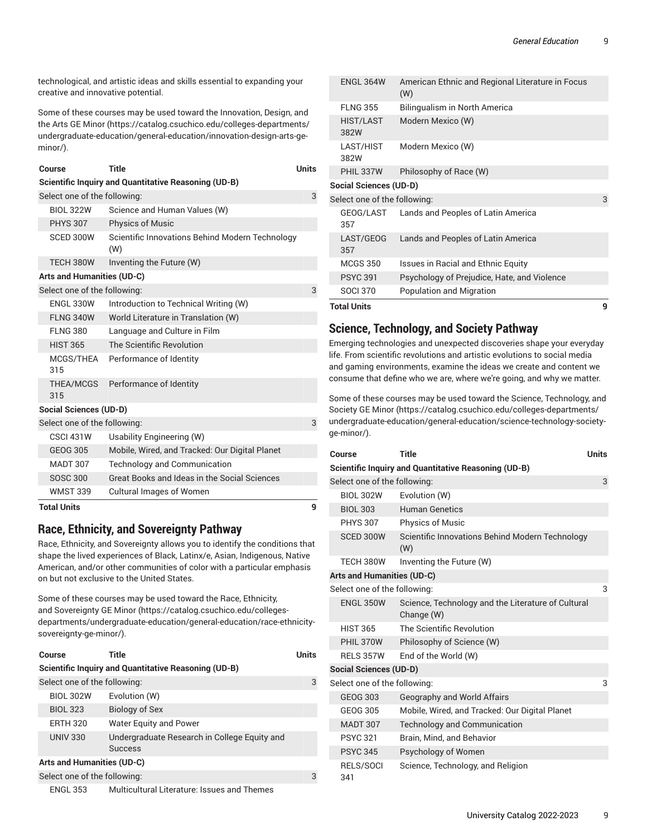technological, and artistic ideas and skills essential to expanding your creative and innovative potential.

Some of these courses may be used toward the [Innovation,](https://catalog.csuchico.edu/colleges-departments/undergraduate-education/general-education/innovation-design-arts-ge-minor/) Design, and the Arts GE [Minor](https://catalog.csuchico.edu/colleges-departments/undergraduate-education/general-education/innovation-design-arts-ge-minor/) ([https://catalog.csuchico.edu/colleges-departments/](https://catalog.csuchico.edu/colleges-departments/undergraduate-education/general-education/innovation-design-arts-ge-minor/) [undergraduate-education/general-education/innovation-design-arts-ge](https://catalog.csuchico.edu/colleges-departments/undergraduate-education/general-education/innovation-design-arts-ge-minor/)[minor/](https://catalog.csuchico.edu/colleges-departments/undergraduate-education/general-education/innovation-design-arts-ge-minor/)).

|                              | Course                            | <b>Title</b>                                                | <b>Units</b> |
|------------------------------|-----------------------------------|-------------------------------------------------------------|--------------|
|                              |                                   | <b>Scientific Inquiry and Quantitative Reasoning (UD-B)</b> |              |
| Select one of the following: |                                   |                                                             |              |
|                              | <b>BIOL 322W</b>                  | Science and Human Values (W)                                |              |
|                              | <b>PHYS 307</b>                   | <b>Physics of Music</b>                                     |              |
|                              | SCED 300W                         | Scientific Innovations Behind Modern Technology<br>(W)      |              |
|                              | TECH 380W                         | Inventing the Future (W)                                    |              |
|                              | <b>Arts and Humanities (UD-C)</b> |                                                             |              |
|                              | Select one of the following:      |                                                             | 3            |
|                              | <b>ENGL 330W</b>                  | Introduction to Technical Writing (W)                       |              |
|                              | <b>FLNG 340W</b>                  | World Literature in Translation (W)                         |              |
|                              | <b>FLNG 380</b>                   | Language and Culture in Film                                |              |
|                              | <b>HIST 365</b>                   | The Scientific Revolution                                   |              |
|                              | 315                               | MCGS/THEA Performance of Identity                           |              |
|                              | 315                               | THEA/MCGS Performance of Identity                           |              |
|                              | <b>Social Sciences (UD-D)</b>     |                                                             |              |
|                              | Select one of the following:      |                                                             | 3            |
|                              | <b>CSCI 431W</b>                  | Usability Engineering (W)                                   |              |
|                              | <b>GEOG 305</b>                   | Mobile, Wired, and Tracked: Our Digital Planet              |              |
|                              | <b>MADT 307</b>                   | Technology and Communication                                |              |
|                              | <b>SOSC 300</b>                   | Great Books and Ideas in the Social Sciences                |              |

**Total Units 9**

### **Race, Ethnicity, and Sovereignty Pathway**

WMST 339 Cultural Images of Women

Race, Ethnicity, and Sovereignty allows you to identify the conditions that shape the lived experiences of Black, Latinx/e, Asian, Indigenous, Native American, and/or other communities of color with a particular emphasis on but not exclusive to the United States.

Some of these courses may be used toward the Race, [Ethnicity,](https://catalog.csuchico.edu/colleges-departments/undergraduate-education/general-education/race-ethnicity-sovereignty-ge-minor/) and [Sovereignty](https://catalog.csuchico.edu/colleges-departments/undergraduate-education/general-education/race-ethnicity-sovereignty-ge-minor/) GE Minor [\(https://catalog.csuchico.edu/colleges](https://catalog.csuchico.edu/colleges-departments/undergraduate-education/general-education/race-ethnicity-sovereignty-ge-minor/)[departments/undergraduate-education/general-education/race-ethnicity](https://catalog.csuchico.edu/colleges-departments/undergraduate-education/general-education/race-ethnicity-sovereignty-ge-minor/)[sovereignty-ge-minor/\)](https://catalog.csuchico.edu/colleges-departments/undergraduate-education/general-education/race-ethnicity-sovereignty-ge-minor/).

| Course                     |                              | Title                                                          | <b>Units</b> |
|----------------------------|------------------------------|----------------------------------------------------------------|--------------|
|                            |                              | Scientific Inquiry and Quantitative Reasoning (UD-B)           |              |
|                            | Select one of the following: |                                                                | 3            |
|                            | <b>BIOL 302W</b>             | Evolution (W)                                                  |              |
|                            | <b>BIOL 323</b>              | Biology of Sex                                                 |              |
|                            | <b>ERTH 320</b>              | <b>Water Equity and Power</b>                                  |              |
|                            | <b>UNIV 330</b>              | Undergraduate Research in College Equity and<br><b>Success</b> |              |
| Arts and Humanities (UD-C) |                              |                                                                |              |
|                            | Select one of the following: |                                                                |              |

| Multicultural Literature: Issues and Themes<br><b>ENGL 353</b> |  |
|----------------------------------------------------------------|--|
|----------------------------------------------------------------|--|

| <b>Total Units</b>            |                                                         | 9 |
|-------------------------------|---------------------------------------------------------|---|
| <b>SOCI 370</b>               | Population and Migration                                |   |
| <b>PSYC 391</b>               | Psychology of Prejudice, Hate, and Violence             |   |
| <b>MCGS 350</b>               | Issues in Racial and Ethnic Equity                      |   |
| LAST/GEOG<br>357              | Lands and Peoples of Latin America                      |   |
| GEOG/LAST<br>357              | Lands and Peoples of Latin America                      |   |
| Select one of the following:  |                                                         | 3 |
| <b>Social Sciences (UD-D)</b> |                                                         |   |
| <b>PHIL 337W</b>              | Philosophy of Race (W)                                  |   |
| LAST/HIST<br>382W             | Modern Mexico (W)                                       |   |
| <b>HIST/LAST</b><br>382W      | Modern Mexico (W)                                       |   |
| <b>FLNG 355</b>               | Bilingualism in North America                           |   |
| <b>ENGL 364W</b>              | American Ethnic and Regional Literature in Focus<br>(W) |   |

### **Science, Technology, and Society Pathway**

Emerging technologies and unexpected discoveries shape your everyday life. From scientific revolutions and artistic evolutions to social media and gaming environments, examine the ideas we create and content we consume that define who we are, where we're going, and why we matter.

Some of these courses may be used toward the Science, [Technology,](https://catalog.csuchico.edu/colleges-departments/undergraduate-education/general-education/science-technology-society-ge-minor/) and [Society GE Minor](https://catalog.csuchico.edu/colleges-departments/undergraduate-education/general-education/science-technology-society-ge-minor/) ([https://catalog.csuchico.edu/colleges-departments/](https://catalog.csuchico.edu/colleges-departments/undergraduate-education/general-education/science-technology-society-ge-minor/) [undergraduate-education/general-education/science-technology-society](https://catalog.csuchico.edu/colleges-departments/undergraduate-education/general-education/science-technology-society-ge-minor/)[ge-minor/](https://catalog.csuchico.edu/colleges-departments/undergraduate-education/general-education/science-technology-society-ge-minor/)).

| Course                            | Title                                                            | <b>Units</b> |  |  |  |
|-----------------------------------|------------------------------------------------------------------|--------------|--|--|--|
|                                   | Scientific Inquiry and Quantitative Reasoning (UD-B)             |              |  |  |  |
|                                   | Select one of the following:<br>3                                |              |  |  |  |
| <b>BIOL 302W</b>                  | Evolution (W)                                                    |              |  |  |  |
| <b>BIOL 303</b>                   | <b>Human Genetics</b>                                            |              |  |  |  |
| <b>PHYS 307</b>                   | <b>Physics of Music</b>                                          |              |  |  |  |
| SCED 300W                         | Scientific Innovations Behind Modern Technology<br>(W)           |              |  |  |  |
| TECH 380W                         | Inventing the Future (W)                                         |              |  |  |  |
| <b>Arts and Humanities (UD-C)</b> |                                                                  |              |  |  |  |
| Select one of the following:      |                                                                  | 3            |  |  |  |
| <b>ENGL 350W</b>                  | Science, Technology and the Literature of Cultural<br>Change (W) |              |  |  |  |
| <b>HIST 365</b>                   | The Scientific Revolution                                        |              |  |  |  |
| PHIL 370W                         | Philosophy of Science (W)                                        |              |  |  |  |
| <b>RELS 357W</b>                  | End of the World (W)                                             |              |  |  |  |
| <b>Social Sciences (UD-D)</b>     |                                                                  |              |  |  |  |
| Select one of the following:      |                                                                  | 3            |  |  |  |
| <b>GEOG 303</b>                   | Geography and World Affairs                                      |              |  |  |  |
| GEOG 305                          | Mobile, Wired, and Tracked: Our Digital Planet                   |              |  |  |  |
| <b>MADT 307</b>                   | <b>Technology and Communication</b>                              |              |  |  |  |
| <b>PSYC 321</b>                   | Brain, Mind, and Behavior                                        |              |  |  |  |
| <b>PSYC 345</b>                   | Psychology of Women                                              |              |  |  |  |
| RELS/SOCI<br>341                  | Science, Technology, and Religion                                |              |  |  |  |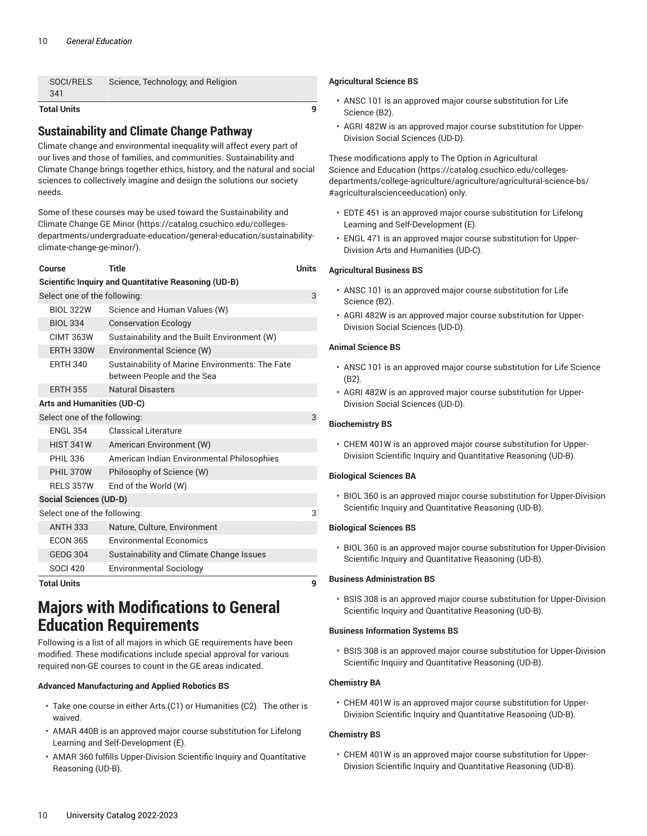| <b>Total Units</b> |                                   | a |     |
|--------------------|-----------------------------------|---|-----|
| 341                |                                   |   |     |
| SOCI/RELS          | Science, Technology, and Religion |   | Aqr |

### **Sustainability and Climate Change Pathway**

Climate change and environmental inequality will affect every part of our lives and those of families, and communities. Sustainability and Climate Change brings together ethics, history, and the natural and social sciences to collectively imagine and design the solutions our society needs.

Some of these courses may be used toward the [Sustainability and](https://catalog.csuchico.edu/colleges-departments/undergraduate-education/general-education/sustainability-climate-change-ge-minor/) [Climate Change GE Minor \(https://catalog.csuchico.edu/colleges](https://catalog.csuchico.edu/colleges-departments/undergraduate-education/general-education/sustainability-climate-change-ge-minor/)[departments/undergraduate-education/general-education/sustainability](https://catalog.csuchico.edu/colleges-departments/undergraduate-education/general-education/sustainability-climate-change-ge-minor/)[climate-change-ge-minor/\)](https://catalog.csuchico.edu/colleges-departments/undergraduate-education/general-education/sustainability-climate-change-ge-minor/).

#### **Course Title Units**

|                                   |  | <b>Scientific Inquiry and Quantitative Reasoning (UD-B)</b>                   |   |  |
|-----------------------------------|--|-------------------------------------------------------------------------------|---|--|
| Select one of the following:      |  |                                                                               |   |  |
| <b>BIOL 322W</b>                  |  | Science and Human Values (W)                                                  |   |  |
| <b>BIOL 334</b>                   |  | <b>Conservation Ecology</b>                                                   |   |  |
| <b>CIMT 363W</b>                  |  | Sustainability and the Built Environment (W)                                  |   |  |
| <b>ERTH 330W</b>                  |  | Environmental Science (W)                                                     |   |  |
| <b>ERTH 340</b>                   |  | Sustainability of Marine Environments: The Fate<br>between People and the Sea |   |  |
| <b>ERTH 355</b>                   |  | <b>Natural Disasters</b>                                                      |   |  |
| <b>Arts and Humanities (UD-C)</b> |  |                                                                               |   |  |
| Select one of the following:      |  |                                                                               | 3 |  |
| <b>ENGL 354</b>                   |  | <b>Classical Literature</b>                                                   |   |  |
| <b>HIST 341W</b>                  |  | American Environment (W)                                                      |   |  |
| <b>PHIL 336</b>                   |  | American Indian Environmental Philosophies                                    |   |  |
| PHIL 370W                         |  | Philosophy of Science (W)                                                     |   |  |
| <b>RELS 357W</b>                  |  | End of the World (W)                                                          |   |  |
| <b>Social Sciences (UD-D)</b>     |  |                                                                               |   |  |
| Select one of the following:      |  |                                                                               | 3 |  |
| <b>ANTH 333</b>                   |  | Nature, Culture, Environment                                                  |   |  |
| <b>ECON 365</b>                   |  | <b>Environmental Economics</b>                                                |   |  |
| <b>GEOG 304</b>                   |  | Sustainability and Climate Change Issues                                      |   |  |
| <b>SOCI 420</b>                   |  | <b>Environmental Sociology</b>                                                |   |  |
| Tatal Unite                       |  |                                                                               | ົ |  |

**Total Units 9**

### <span id="page-9-0"></span>**Majors with Modifications to General Education Requirements**

Following is a list of all majors in which GE requirements have been modified. These modifications include special approval for various required non-GE courses to count in the GE areas indicated.

#### **Advanced Manufacturing and Applied Robotics BS**

- Take one course in either Arts (C1) or Humanities (C2). The other is waived.
- AMAR 440B is an approved major course substitution for Lifelong Learning and Self-Development (E).
- AMAR 360 fulfills Upper-Division Scientific Inquiry and Quantitative Reasoning (UD-B).

#### **Agricultural Science BS**

- ANSC 101 is an approved major course substitution for Life Science (B2).
- AGRI 482W is an approved major course substitution for Upper-Division Social Sciences (UD-D).

These modifications apply to [The Option in Agricultural](https://catalog.csuchico.edu/colleges-departments/college-agriculture/agriculture/agricultural-science-bs/#agriculturalscienceeducation) Science and [Education](https://catalog.csuchico.edu/colleges-departments/college-agriculture/agriculture/agricultural-science-bs/#agriculturalscienceeducation) [\(https://catalog.csuchico.edu/colleges](https://catalog.csuchico.edu/colleges-departments/college-agriculture/agriculture/agricultural-science-bs/#agriculturalscienceeducation)[departments/college-agriculture/agriculture/agricultural-science-bs/](https://catalog.csuchico.edu/colleges-departments/college-agriculture/agriculture/agricultural-science-bs/#agriculturalscienceeducation) [#agriculturalscienceeducation\)](https://catalog.csuchico.edu/colleges-departments/college-agriculture/agriculture/agricultural-science-bs/#agriculturalscienceeducation) only.

- EDTE 451 is an approved major course substitution for Lifelong Learning and Self-Development (E).
- ENGL 471 is an approved major course substitution for Upper-Division Arts and Humanities (UD-C).

#### **Agricultural Business BS**

- ANSC 101 is an approved major course substitution for Life Science (B2).
- AGRI 482W is an approved major course substitution for Upper-Division Social Sciences (UD-D).

#### **Animal Science BS**

- ANSC 101 is an approved major course substitution for Life Science (B2).
- AGRI 482W is an approved major course substitution for Upper-Division Social Sciences (UD-D).

#### **Biochemistry BS**

• CHEM 401W is an approved major course substitution for Upper-Division Scientific Inquiry and Quantitative Reasoning (UD-B).

#### **Biological Sciences BA**

• BIOL 360 is an approved major course substitution for Upper-Division Scientific Inquiry and Quantitative Reasoning (UD-B).

#### **Biological Sciences BS**

• BIOL 360 is an approved major course substitution for Upper-Division Scientific Inquiry and Quantitative Reasoning (UD-B).

#### **Business Administration BS**

• BSIS 308 is an approved major course substitution for Upper-Division Scientific Inquiry and Quantitative Reasoning (UD-B).

#### **Business Information Systems BS**

• BSIS 308 is an approved major course substitution for Upper-Division Scientific Inquiry and Quantitative Reasoning (UD-B).

#### **Chemistry BA**

• CHEM 401W is an approved major course substitution for Upper-Division Scientific Inquiry and Quantitative Reasoning (UD-B).

#### **Chemistry BS**

• CHEM 401W is an approved major course substitution for Upper-Division Scientific Inquiry and Quantitative Reasoning (UD-B).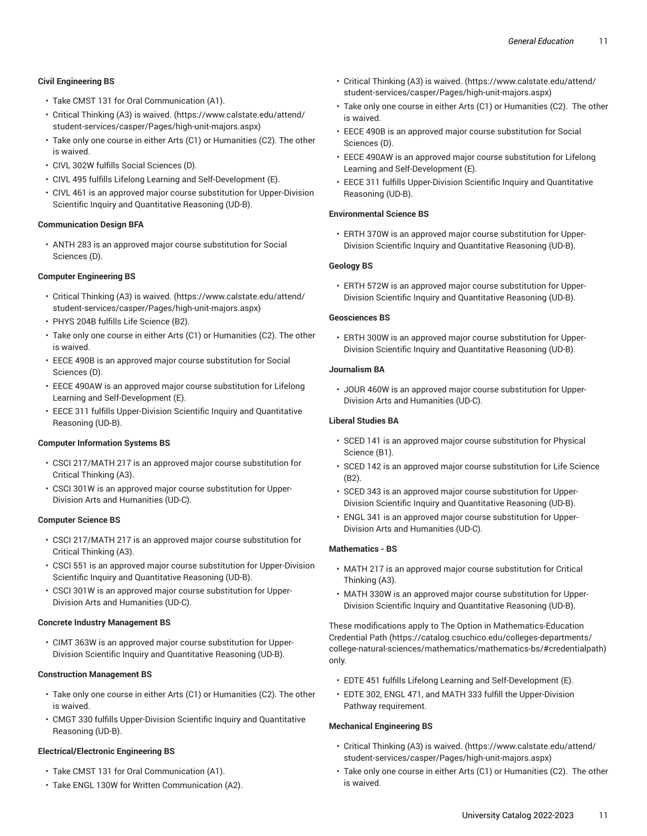#### **Civil Engineering BS**

- Take CMST 131 for Oral Communication (A1).
- Critical [Thinking](https://www.calstate.edu/attend/student-services/casper/Pages/high-unit-majors.aspx) (A3) is waived. [\(https://www.calstate.edu/attend/](https://www.calstate.edu/attend/student-services/casper/Pages/high-unit-majors.aspx) [student-services/casper/Pages/high-unit-majors.aspx](https://www.calstate.edu/attend/student-services/casper/Pages/high-unit-majors.aspx))
- Take only one course in either Arts (C1) or Humanities (C2). The other is waived.
- CIVL 302W fulfills Social Sciences (D).
- CIVL 495 fulfills Lifelong Learning and Self-Development (E).
- CIVL 461 is an approved major course substitution for Upper-Division Scientific Inquiry and Quantitative Reasoning (UD-B).

#### **Communication Design BFA**

• ANTH 283 is an approved major course substitution for Social Sciences (D).

#### **Computer Engineering BS**

- Critical [Thinking](https://www.calstate.edu/attend/student-services/casper/Pages/high-unit-majors.aspx) (A3) is waived. [\(https://www.calstate.edu/attend/](https://www.calstate.edu/attend/student-services/casper/Pages/high-unit-majors.aspx) [student-services/casper/Pages/high-unit-majors.aspx](https://www.calstate.edu/attend/student-services/casper/Pages/high-unit-majors.aspx))
- PHYS 204B fulfills Life Science (B2).
- Take only one course in either Arts (C1) or Humanities (C2). The other is waived.
- EECE 490B is an approved major course substitution for Social Sciences (D).
- EECE 490AW is an approved major course substitution for Lifelong Learning and Self-Development (E).
- EECE 311 fulfills Upper-Division Scientific Inquiry and Quantitative Reasoning (UD-B).

#### **Computer Information Systems BS**

- CSCI 217/MATH 217 is an approved major course substitution for Critical Thinking (A3).
- CSCI 301W is an approved major course substitution for Upper-Division Arts and Humanities (UD-C).

#### **Computer Science BS**

- CSCI 217/MATH 217 is an approved major course substitution for Critical Thinking (A3).
- CSCI 551 is an approved major course substitution for Upper-Division Scientific Inquiry and Quantitative Reasoning (UD-B).
- CSCI 301W is an approved major course substitution for Upper-Division Arts and Humanities (UD-C).

#### **Concrete Industry Management BS**

• CIMT 363W is an approved major course substitution for Upper-Division Scientific Inquiry and Quantitative Reasoning (UD-B).

#### **Construction Management BS**

- Take only one course in either Arts (C1) or Humanities (C2). The other is waived.
- CMGT 330 fulfills Upper-Division Scientific Inquiry and Quantitative Reasoning (UD-B).

#### **Electrical/Electronic Engineering BS**

- Take CMST 131 for Oral Communication (A1).
- Take ENGL 130W for Written Communication (A2).
- Critical [Thinking](https://www.calstate.edu/attend/student-services/casper/Pages/high-unit-majors.aspx) (A3) is waived. ([https://www.calstate.edu/attend/](https://www.calstate.edu/attend/student-services/casper/Pages/high-unit-majors.aspx) [student-services/casper/Pages/high-unit-majors.aspx\)](https://www.calstate.edu/attend/student-services/casper/Pages/high-unit-majors.aspx)
- Take only one course in either Arts (C1) or Humanities (C2). The other is waived.
- EECE 490B is an approved major course substitution for Social Sciences (D).
- EECE 490AW is an approved major course substitution for Lifelong Learning and Self-Development (E).
- EECE 311 fulfills Upper-Division Scientific Inquiry and Quantitative Reasoning (UD-B).

#### **Environmental Science BS**

• ERTH 370W is an approved major course substitution for Upper-Division Scientific Inquiry and Quantitative Reasoning (UD-B).

#### **Geology BS**

• ERTH 572W is an approved major course substitution for Upper-Division Scientific Inquiry and Quantitative Reasoning (UD-B).

#### **Geosciences BS**

• ERTH 300W is an approved major course substitution for Upper-Division Scientific Inquiry and Quantitative Reasoning (UD-B).

#### **Journalism BA**

• JOUR 460W is an approved major course substitution for Upper-Division Arts and Humanities (UD-C).

#### **Liberal Studies BA**

- SCED 141 is an approved major course substitution for Physical Science (B1).
- SCED 142 is an approved major course substitution for Life Science (B2).
- SCED 343 is an approved major course substitution for Upper-Division Scientific Inquiry and Quantitative Reasoning (UD-B).
- ENGL 341 is an approved major course substitution for Upper-Division Arts and Humanities (UD-C).

#### **Mathematics - BS**

- MATH 217 is an approved major course substitution for Critical Thinking (A3).
- MATH 330W is an approved major course substitution for Upper-Division Scientific Inquiry and Quantitative Reasoning (UD-B).

These modifications apply to The Option in [Mathematics-Education](https://catalog.csuchico.edu/colleges-departments/college-natural-sciences/mathematics/mathematics-bs/#credentialpath) [Credential](https://catalog.csuchico.edu/colleges-departments/college-natural-sciences/mathematics/mathematics-bs/#credentialpath) Path [\(https://catalog.csuchico.edu/colleges-departments/](https://catalog.csuchico.edu/colleges-departments/college-natural-sciences/mathematics/mathematics-bs/#credentialpath) [college-natural-sciences/mathematics/mathematics-bs/#credentialpath](https://catalog.csuchico.edu/colleges-departments/college-natural-sciences/mathematics/mathematics-bs/#credentialpath)) only.

- EDTE 451 fulfills Lifelong Learning and Self-Development (E).
- EDTE 302, ENGL 471, and MATH 333 fulfill the Upper-Division Pathway requirement.

#### **Mechanical Engineering BS**

- Critical [Thinking](https://www.calstate.edu/attend/student-services/casper/Pages/high-unit-majors.aspx) (A3) is waived. ([https://www.calstate.edu/attend/](https://www.calstate.edu/attend/student-services/casper/Pages/high-unit-majors.aspx) [student-services/casper/Pages/high-unit-majors.aspx\)](https://www.calstate.edu/attend/student-services/casper/Pages/high-unit-majors.aspx)
- Take only one course in either Arts (C1) or Humanities (C2). The other is waived.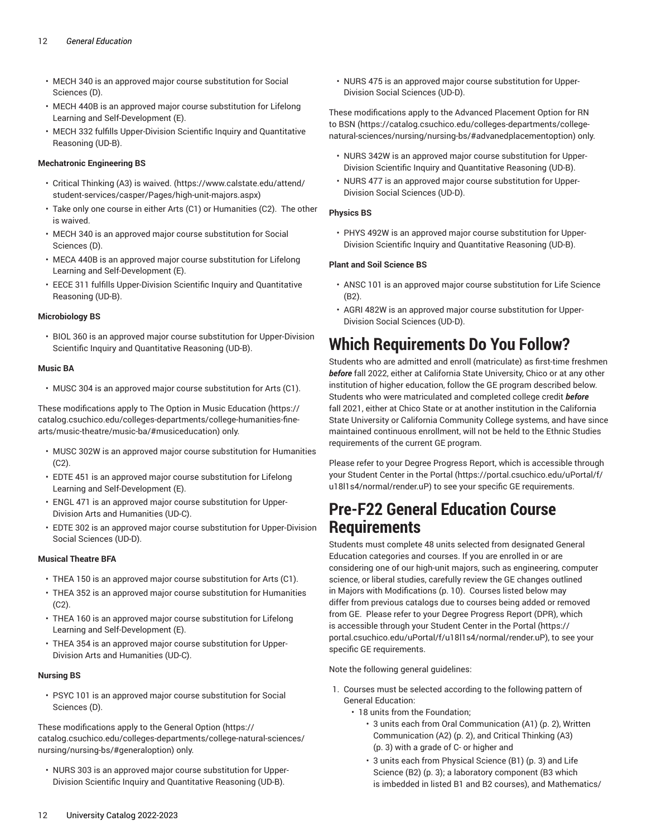- MECH 340 is an approved major course substitution for Social Sciences (D).
- MECH 440B is an approved major course substitution for Lifelong Learning and Self-Development (E).
- MECH 332 fulfills Upper-Division Scientific Inquiry and Quantitative Reasoning (UD-B).

#### **Mechatronic Engineering BS**

- Critical [Thinking](https://www.calstate.edu/attend/student-services/casper/Pages/high-unit-majors.aspx) (A3) is waived. [\(https://www.calstate.edu/attend/](https://www.calstate.edu/attend/student-services/casper/Pages/high-unit-majors.aspx) [student-services/casper/Pages/high-unit-majors.aspx](https://www.calstate.edu/attend/student-services/casper/Pages/high-unit-majors.aspx))
- Take only one course in either Arts (C1) or Humanities (C2). The other is waived.
- MECH 340 is an approved major course substitution for Social Sciences (D).
- MECA 440B is an approved major course substitution for Lifelong Learning and Self-Development (E).
- EECE 311 fulfills Upper-Division Scientific Inquiry and Quantitative Reasoning (UD-B).

#### **Microbiology BS**

• BIOL 360 is an approved major course substitution for Upper-Division Scientific Inquiry and Quantitative Reasoning (UD-B).

#### **Music BA**

• MUSC 304 is an approved major course substitution for Arts (C1).

These modifications apply to The Option in Music [Education \(https://](https://catalog.csuchico.edu/colleges-departments/college-humanities-fine-arts/music-theatre/music-ba/#musiceducation) [catalog.csuchico.edu/colleges-departments/college-humanities-fine](https://catalog.csuchico.edu/colleges-departments/college-humanities-fine-arts/music-theatre/music-ba/#musiceducation)[arts/music-theatre/music-ba/#musiceducation\)](https://catalog.csuchico.edu/colleges-departments/college-humanities-fine-arts/music-theatre/music-ba/#musiceducation) only.

- MUSC 302W is an approved major course substitution for Humanities (C2).
- EDTE 451 is an approved major course substitution for Lifelong Learning and Self-Development (E).
- ENGL 471 is an approved major course substitution for Upper-Division Arts and Humanities (UD-C).
- EDTE 302 is an approved major course substitution for Upper-Division Social Sciences (UD-D).

#### **Musical Theatre BFA**

- THEA 150 is an approved major course substitution for Arts (C1).
- THEA 352 is an approved major course substitution for Humanities (C2).
- THEA 160 is an approved major course substitution for Lifelong Learning and Self-Development (E).
- THEA 354 is an approved major course substitution for Upper-Division Arts and Humanities (UD-C).

#### **Nursing BS**

• PSYC 101 is an approved major course substitution for Social Sciences (D).

These modifications apply to the [General Option \(https://](https://catalog.csuchico.edu/colleges-departments/college-natural-sciences/nursing/nursing-bs/#generaloption) [catalog.csuchico.edu/colleges-departments/college-natural-sciences/](https://catalog.csuchico.edu/colleges-departments/college-natural-sciences/nursing/nursing-bs/#generaloption) [nursing/nursing-bs/#generaloption](https://catalog.csuchico.edu/colleges-departments/college-natural-sciences/nursing/nursing-bs/#generaloption)) only.

• NURS 303 is an approved major course substitution for Upper-Division Scientific Inquiry and Quantitative Reasoning (UD-B).

• NURS 475 is an approved major course substitution for Upper-Division Social Sciences (UD-D).

These modifications apply to the Advanced [Placement](https://catalog.csuchico.edu/colleges-departments/college-natural-sciences/nursing/nursing-bs/#advanedplacementoption) Option for RN [to BSN](https://catalog.csuchico.edu/colleges-departments/college-natural-sciences/nursing/nursing-bs/#advanedplacementoption) [\(https://catalog.csuchico.edu/colleges-departments/college](https://catalog.csuchico.edu/colleges-departments/college-natural-sciences/nursing/nursing-bs/#advanedplacementoption)[natural-sciences/nursing/nursing-bs/#advanedplacementoption](https://catalog.csuchico.edu/colleges-departments/college-natural-sciences/nursing/nursing-bs/#advanedplacementoption)) only.

- NURS 342W is an approved major course substitution for Upper-Division Scientific Inquiry and Quantitative Reasoning (UD-B).
- NURS 477 is an approved major course substitution for Upper-Division Social Sciences (UD-D).

#### **Physics BS**

• PHYS 492W is an approved major course substitution for Upper-Division Scientific Inquiry and Quantitative Reasoning (UD-B).

#### **Plant and Soil Science BS**

- ANSC 101 is an approved major course substitution for Life Science (B2).
- AGRI 482W is an approved major course substitution for Upper-Division Social Sciences (UD-D).

### <span id="page-11-0"></span>**Which Requirements Do You Follow?**

Students who are admitted and enroll (matriculate) as first-time freshmen *before* fall 2022, either at California State University, Chico or at any other institution of higher education, follow the GE program described below. Students who were matriculated and completed college credit *before* fall 2021, either at Chico State or at another institution in the California State University or California Community College systems, and have since maintained continuous enrollment, will not be held to the Ethnic Studies requirements of the current GE program.

Please refer to your Degree Progress Report, which is accessible through your Student Center in the [Portal \(https://portal.csuchico.edu/uPortal/f/](https://portal.csuchico.edu/uPortal/f/u18l1s4/normal/render.uP) [u18l1s4/normal/render.uP](https://portal.csuchico.edu/uPortal/f/u18l1s4/normal/render.uP)) to see your specific GE requirements.

### **Pre-F22 General Education Course Requirements**

Students must complete 48 units selected from designated General Education categories and courses. If you are enrolled in or are considering one of our high-unit majors, such as engineering, computer science, or liberal studies, carefully review the GE changes outlined in [Majors with Modifications](#page-9-0) [\(p. 10\)](#page-9-0). Courses listed below may differ from previous catalogs due to courses being added or removed from GE. Please refer to your Degree Progress Report (DPR), which is accessible through your Student Center in the [Portal](https://portal.csuchico.edu/uPortal/f/u18l1s4/normal/render.uP) ([https://](https://portal.csuchico.edu/uPortal/f/u18l1s4/normal/render.uP) [portal.csuchico.edu/uPortal/f/u18l1s4/normal/render.uP](https://portal.csuchico.edu/uPortal/f/u18l1s4/normal/render.uP)), to see your specific GE requirements.

Note the following general guidelines:

- 1. Courses must be selected according to the following pattern of General Education:
	- 18 units from the Foundation;
		- 3 units each from [Oral Communication \(A1\)](#page-1-0) ([p. 2\)](#page-1-0), [Written](#page-1-1) [Communication \(A2\) \(p. 2](#page-1-1)), and [Critical Thinking \(A3\)](#page-2-0) [\(p. 3](#page-2-0)) with a grade of C- or higher and
		- 3 units each from [Physical Science \(B1\)](#page-2-2) ([p. 3\)](#page-2-2) and [Life](#page-2-3) [Science \(B2\) \(p. 3\)](#page-2-3); a laboratory component (B3 which is imbedded in listed B1 and B2 courses), and [Mathematics/](#page-2-1)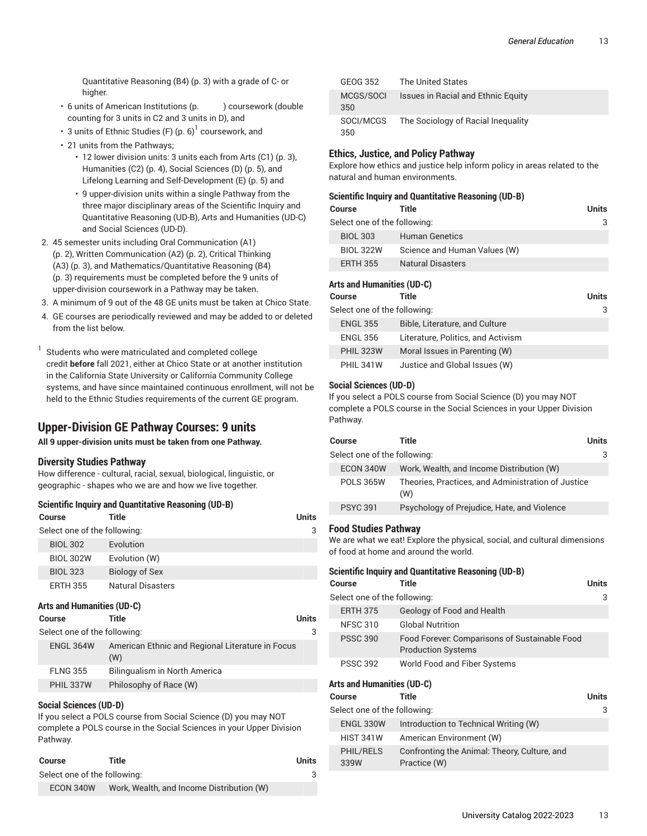[Quantitative](#page-2-1) Reasoning (B4) ([p. 3\)](#page-2-1) with a grade of C- or higher.

- 6 units of American Institutions (p. ) coursework (double counting for 3 units in C2 and 3 units in D), and
- 3 units of [Ethnic Studies \(F\) \(p. 6\)](#page-5-0) $^{\rm l}$  coursework, and
- 21 units from the Pathways;
	- 12 lower division units: 3 units each from [Arts](#page-2-4) (C1) ([p. 3\)](#page-2-4), [Humanities \(C2\)](#page-3-0) ([p. 4](#page-3-0)), [Social Sciences \(D\) \(p. 5](#page-4-2)), and Lifelong Learning and [Self-Development](#page-4-3) (E) ([p. 5\)](#page-4-3) and
	- 9 upper-division units within a single Pathway from the three major disciplinary areas of the Scientific Inquiry and Quantitative Reasoning (UD-B), Arts and Humanities (UD-C) and Social Sciences (UD-D).
- 2. 45 semester units including [Oral Communication \(A1\)](#page-1-0) ([p. 2\)](#page-1-0), Written [Communication](#page-1-1) (A2) ([p. 2](#page-1-1)), [Critical Thinking](#page-2-0) [\(A3\)](#page-2-0) ([p. 3\)](#page-2-0), and [Mathematics/Quantitative](#page-2-1) Reasoning (B4) ([p. 3\)](#page-2-1) requirements must be completed before the 9 units of upper-division coursework in a Pathway may be taken.
- 3. A minimum of 9 out of the 48 GE units must be taken at Chico State.
- 4. GE courses are periodically reviewed and may be added to or deleted from the list below.
- 1 Students who were matriculated and completed college credit **before** fall 2021, either at Chico State or at another institution in the California State University or California Community College systems, and have since maintained continuous enrollment, will not be held to the Ethnic Studies requirements of the current GE program.

### **Upper-Division GE Pathway Courses: 9 units**

**All 9 upper-division units must be taken from one Pathway.**

#### **Diversity Studies Pathway**

How difference - cultural, racial, sexual, biological, linguistic, or geographic - shapes who we are and how we live together.

#### **Scientific Inquiry and Quantitative Reasoning (UD-B)**

| Course                       | Title                                            | Units        |
|------------------------------|--------------------------------------------------|--------------|
| Select one of the following: |                                                  | 3            |
| <b>BIOL 302</b>              | Evolution                                        |              |
| <b>BIOL 302W</b>             | Evolution (W)                                    |              |
| <b>BIOL 323</b>              | Biology of Sex                                   |              |
| <b>ERTH 355</b>              | <b>Natural Disasters</b>                         |              |
| Arts and Humanities (UD-C)   |                                                  |              |
| Course                       | Title                                            | <b>Units</b> |
| Select one of the following: |                                                  | 3            |
| ENGL 364W                    | American Ethnic and Regional Literature in Focus |              |

|                 | (W)                           |
|-----------------|-------------------------------|
| <b>FLNG 355</b> | Bilingualism in North America |
| PHIL 337W       | Philosophy of Race (W)        |

#### **Social Sciences (UD-D)**

If you select a POLS course from Social Science (D) you may NOT complete a POLS course in the Social Sciences in your Upper Division Pathway.

| Course                       | Title                                     | Units |
|------------------------------|-------------------------------------------|-------|
| Select one of the following: |                                           |       |
| ECON 340W                    | Work, Wealth, and Income Distribution (W) |       |

| GEOG 352         | <b>The United States</b>                  |
|------------------|-------------------------------------------|
| MCGS/SOCI<br>350 | <b>Issues in Racial and Ethnic Equity</b> |
| SOCI/MCGS<br>350 | The Sociology of Racial Inequality        |

#### **Ethics, Justice, and Policy Pathway**

Explore how ethics and justice help inform policy in areas related to the natural and human environments.

#### **Scientific Inquiry and Quantitative Reasoning (UD-B)**

| Course                       | Title                        | <b>Units</b> |
|------------------------------|------------------------------|--------------|
| Select one of the following: |                              | 3            |
| <b>BIOL 303</b>              | <b>Human Genetics</b>        |              |
| <b>BIOL 322W</b>             | Science and Human Values (W) |              |
| <b>ERTH 355</b>              | <b>Natural Disasters</b>     |              |
|                              |                              |              |

#### **Arts and Humanities (UD-C)**

| Course                       | Title                              | <b>Units</b> |
|------------------------------|------------------------------------|--------------|
| Select one of the following: |                                    | 3            |
| <b>ENGL 355</b>              | Bible, Literature, and Culture     |              |
| <b>ENGL 356</b>              | Literature, Politics, and Activism |              |
| <b>PHIL 323W</b>             | Moral Issues in Parenting (W)      |              |
| <b>PHIL 341W</b>             | Justice and Global Issues (W)      |              |

#### **Social Sciences (UD-D)**

If you select a POLS course from Social Science (D) you may NOT complete a POLS course in the Social Sciences in your Upper Division Pathway.

| Course                       | Title                                                     | Units |
|------------------------------|-----------------------------------------------------------|-------|
| Select one of the following: |                                                           | 3     |
| ECON 340W                    | Work, Wealth, and Income Distribution (W)                 |       |
| <b>POLS 365W</b>             | Theories, Practices, and Administration of Justice<br>(W) |       |
| <b>PSYC 391</b>              | Psychology of Prejudice, Hate, and Violence               |       |
|                              |                                                           |       |

#### **Food Studies Pathway**

We are what we eat! Explore the physical, social, and cultural dimensions of food at home and around the world.

| Scientific Inquiry and Quantitative Reasoning (UD-B) |                                                                            |       |  |  |
|------------------------------------------------------|----------------------------------------------------------------------------|-------|--|--|
| Course                                               | Title                                                                      | Units |  |  |
| Select one of the following:                         |                                                                            |       |  |  |
| <b>ERTH 375</b>                                      | Geology of Food and Health                                                 |       |  |  |
| <b>NFSC 310</b>                                      | <b>Global Nutrition</b>                                                    |       |  |  |
| <b>PSSC 390</b>                                      | Food Forever: Comparisons of Sustainable Food<br><b>Production Systems</b> |       |  |  |
| <b>PSSC 392</b>                                      | World Food and Fiber Systems                                               |       |  |  |

#### **Arts and Humanities (UD-C)**

| Course                       | Title                                                        | <b>Units</b> |  |
|------------------------------|--------------------------------------------------------------|--------------|--|
| Select one of the following: |                                                              |              |  |
| <b>ENGL 330W</b>             | Introduction to Technical Writing (W)                        |              |  |
| <b>HIST 341W</b>             | American Environment (W)                                     |              |  |
| <b>PHIL/RELS</b><br>339W     | Confronting the Animal: Theory, Culture, and<br>Practice (W) |              |  |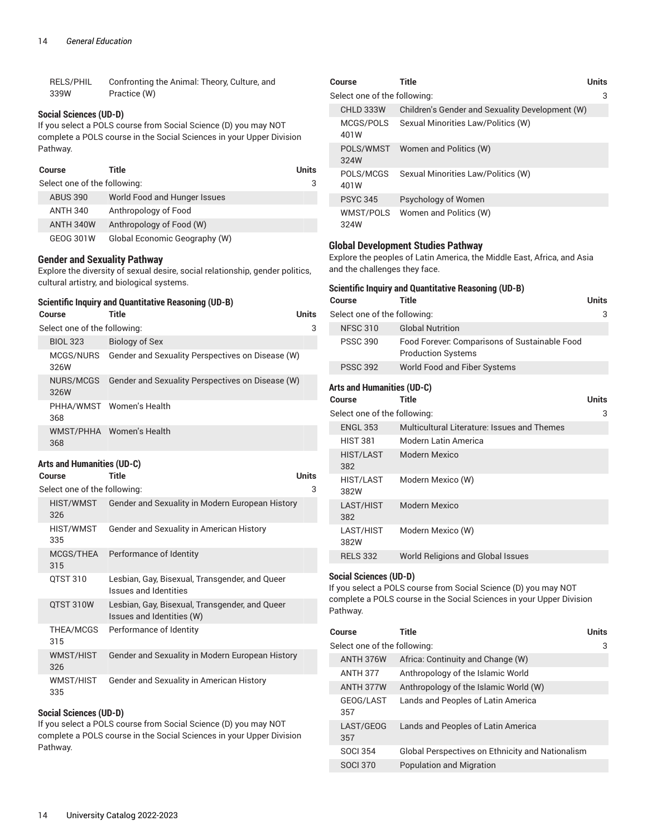| RELS/PHIL | Confronting the Animal: Theory, Culture, and |
|-----------|----------------------------------------------|
| 339W      | Practice (W)                                 |

#### **Social Sciences (UD-D)**

If you select a POLS course from Social Science (D) you may NOT complete a POLS course in the Social Sciences in your Upper Division Pathway.

| Course |                              | Title                         | Units |
|--------|------------------------------|-------------------------------|-------|
|        | Select one of the following: |                               |       |
|        | <b>ABUS 390</b>              | World Food and Hunger Issues  |       |
|        | <b>ANTH 340</b>              | Anthropology of Food          |       |
|        | ANTH 340W                    | Anthropology of Food (W)      |       |
|        | GEOG 301W                    | Global Economic Geography (W) |       |

#### **Gender and Sexuality Pathway**

Explore the diversity of sexual desire, social relationship, gender politics, cultural artistry, and biological systems.

### **Scientific Inquiry and Quantitative Reasoning (UD-B)**

|  | Course                       | Title                                                      | <b>Units</b> |
|--|------------------------------|------------------------------------------------------------|--------------|
|  | Select one of the following: |                                                            | 3            |
|  | <b>BIOL 323</b>              | Biology of Sex                                             |              |
|  | 326W                         | MCGS/NURS Gender and Sexuality Perspectives on Disease (W) |              |
|  | NURS/MCGS<br>326W            | Gender and Sexuality Perspectives on Disease (W)           |              |
|  | 368                          | PHHA/WMST Women's Health                                   |              |
|  | 368                          | WMST/PHHA Women's Health                                   |              |

#### **Arts and Humanities (UD-C)**

| <b>Course</b>                | Title                                                                       | Units |
|------------------------------|-----------------------------------------------------------------------------|-------|
| Select one of the following: |                                                                             | 3     |
| HIST/WMST<br>326             | Gender and Sexuality in Modern European History                             |       |
| HIST/WMST<br>335             | Gender and Sexuality in American History                                    |       |
| MCGS/THEA<br>315             | Performance of Identity                                                     |       |
| QTST 310                     | Lesbian, Gay, Bisexual, Transgender, and Queer<br>Issues and Identities     |       |
| QTST 310W                    | Lesbian, Gay, Bisexual, Transgender, and Queer<br>Issues and Identities (W) |       |
| THEA/MCGS<br>315             | Performance of Identity                                                     |       |
| WMST/HIST<br>326             | Gender and Sexuality in Modern European History                             |       |
| WMST/HIST<br>335             | Gender and Sexuality in American History                                    |       |

#### **Social Sciences (UD-D)**

If you select a POLS course from Social Science (D) you may NOT complete a POLS course in the Social Sciences in your Upper Division Pathway.

| Course                       | Title                                           | Units |
|------------------------------|-------------------------------------------------|-------|
| Select one of the following: |                                                 | 3     |
| CHLD 333W                    | Children's Gender and Sexuality Development (W) |       |
| MCGS/POLS<br>401W            | Sexual Minorities Law/Politics (W)              |       |
| POLS/WMST<br>324W            | Women and Politics (W)                          |       |
| POLS/MCGS<br>401W            | Sexual Minorities Law/Politics (W)              |       |
| <b>PSYC 345</b>              | Psychology of Women                             |       |
| WMST/POLS<br>324W            | Women and Politics (W)                          |       |

#### **Global Development Studies Pathway**

Explore the peoples of Latin America, the Middle East, Africa, and Asia and the challenges they face.

| <b>Scientific Inquiry and Quantitative Reasoning (UD-B)</b> |                                                                            |              |  |
|-------------------------------------------------------------|----------------------------------------------------------------------------|--------------|--|
| Course                                                      | <b>Title</b>                                                               | <b>Units</b> |  |
| Select one of the following:                                |                                                                            | 3            |  |
| <b>NFSC 310</b>                                             | <b>Global Nutrition</b>                                                    |              |  |
| <b>PSSC 390</b>                                             | Food Forever. Comparisons of Sustainable Food<br><b>Production Systems</b> |              |  |
| <b>PSSC 392</b>                                             | World Food and Fiber Systems                                               |              |  |
| <b>Arts and Humanities (UD-C)</b><br>Course                 | Title                                                                      | <b>Units</b> |  |
| Select one of the following:                                |                                                                            | 3            |  |
| <b>ENGL 353</b>                                             | Multicultural Literature: Issues and Themes                                |              |  |
| <b>HIST 381</b>                                             | Modern Latin America                                                       |              |  |
| <b>HIST/LAST</b><br>382                                     | Modern Mexico                                                              |              |  |
| <b>HIST/LAST</b><br>382W                                    | Modern Mexico (W)                                                          |              |  |
| LAST/HIST<br>382                                            | Modern Mexico                                                              |              |  |
| LAST/HIST<br>382W                                           | Modern Mexico (W)                                                          |              |  |
| <b>RELS 332</b>                                             | World Religions and Global Issues                                          |              |  |
|                                                             |                                                                            |              |  |

#### **Social Sciences (UD-D)**

If you select a POLS course from Social Science (D) you may NOT complete a POLS course in the Social Sciences in your Upper Division Pathway.

| Course                       | Title                                                   | <b>Units</b> |
|------------------------------|---------------------------------------------------------|--------------|
| Select one of the following: |                                                         | 3            |
| ANTH 376W                    | Africa: Continuity and Change (W)                       |              |
| <b>ANTH 377</b>              | Anthropology of the Islamic World                       |              |
| ANTH 377W                    | Anthropology of the Islamic World (W)                   |              |
| GEOG/LAST<br>357             | Lands and Peoples of Latin America                      |              |
| LAST/GEOG<br>357             | Lands and Peoples of Latin America                      |              |
| <b>SOCI 354</b>              | <b>Global Perspectives on Ethnicity and Nationalism</b> |              |
| <b>SOCI 370</b>              | <b>Population and Migration</b>                         |              |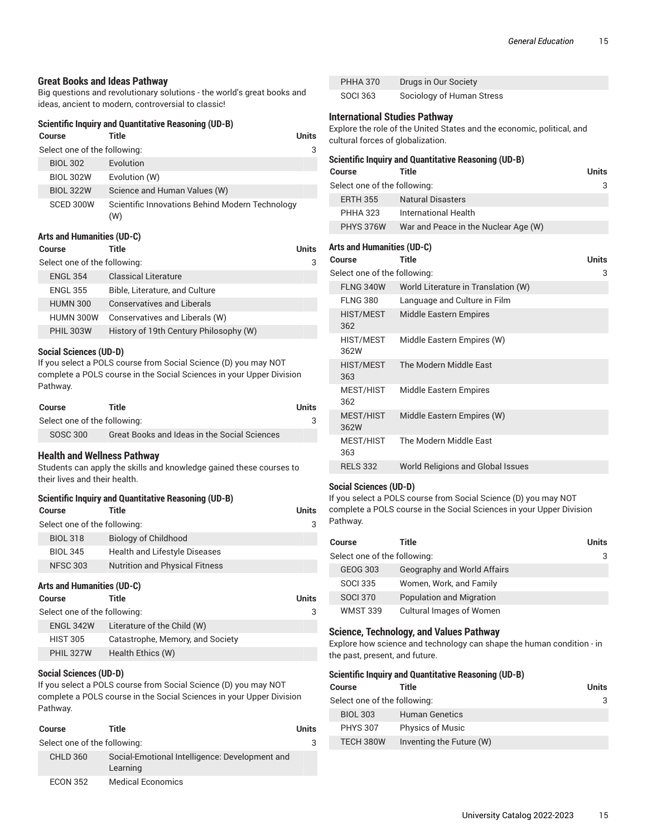#### **Great Books and Ideas Pathway**

Big questions and revolutionary solutions - the world's great books and ideas, ancient to modern, controversial to classic!

#### **Scientific Inquiry and Quantitative Reasoning (UD-B)**

|                              | Course           | Title                                                  | Units |
|------------------------------|------------------|--------------------------------------------------------|-------|
| Select one of the following: |                  |                                                        | 3     |
|                              | <b>BIOL 302</b>  | Evolution                                              |       |
|                              | <b>BIOL 302W</b> | Evolution (W)                                          |       |
|                              | <b>BIOL 322W</b> | Science and Human Values (W)                           |       |
|                              | SCED 300W        | Scientific Innovations Behind Modern Technology<br>(W) |       |

#### **Arts and Humanities (UD-C)**

| <b>Course</b>                | Title                                  | Units |
|------------------------------|----------------------------------------|-------|
| Select one of the following: |                                        | 3     |
| <b>ENGL 354</b>              | <b>Classical Literature</b>            |       |
| <b>ENGL 355</b>              | Bible, Literature, and Culture         |       |
| <b>HUMN 300</b>              | <b>Conservatives and Liberals</b>      |       |
| HUMN 300W                    | Conservatives and Liberals (W)         |       |
| <b>PHIL 303W</b>             | History of 19th Century Philosophy (W) |       |
|                              |                                        |       |

#### **Social Sciences (UD-D)**

If you select a POLS course from Social Science (D) you may NOT complete a POLS course in the Social Sciences in your Upper Division Pathway.

| Course                       | Title                                        | Units |
|------------------------------|----------------------------------------------|-------|
| Select one of the following: |                                              |       |
| SOSC 300                     | Great Books and Ideas in the Social Sciences |       |

#### **Health and Wellness Pathway**

Students can apply the skills and knowledge gained these courses to their lives and their health.

|                              | <b>Scientific Inquiry and Quantitative Reasoning (UD-B)</b> |                                       |              |  |
|------------------------------|-------------------------------------------------------------|---------------------------------------|--------------|--|
|                              | <b>Course</b>                                               | Title                                 | <b>Units</b> |  |
| Select one of the following: |                                                             |                                       | 3            |  |
|                              | <b>BIOL 318</b>                                             | <b>Biology of Childhood</b>           |              |  |
|                              | <b>BIOL 345</b>                                             | <b>Health and Lifestyle Diseases</b>  |              |  |
|                              | <b>NFSC 303</b>                                             | <b>Nutrition and Physical Fitness</b> |              |  |
| Arts and Humanities (UD-C)   |                                                             |                                       |              |  |
|                              | <b>Course</b>                                               | Title                                 | <b>Units</b> |  |
| Select one of the following: |                                                             |                                       | 3            |  |

| ENGL 342W        | Literature of the Child (W)      |
|------------------|----------------------------------|
| <b>HIST 305</b>  | Catastrophe, Memory, and Society |
| <b>PHIL 327W</b> | Health Ethics (W)                |

### **Social Sciences (UD-D)**

If you select a POLS course from Social Science (D) you may NOT complete a POLS course in the Social Sciences in your Upper Division Pathway.

|                              | <b>Course</b>   | Title                                                      | <b>Units</b> |
|------------------------------|-----------------|------------------------------------------------------------|--------------|
| Select one of the following: |                 | 3                                                          |              |
|                              | <b>CHLD 360</b> | Social-Emotional Intelligence: Development and<br>Learning |              |
|                              | <b>ECON 352</b> | <b>Medical Economics</b>                                   |              |

| <b>PHHA 370</b> | Drugs in Our Society      |
|-----------------|---------------------------|
| <b>SOCI 363</b> | Sociology of Human Stress |

#### **International Studies Pathway**

Explore the role of the United States and the economic, political, and cultural forces of globalization.

| Scientific Inquiry and Quantitative Reasoning (UD-B) |                                      |       |  |
|------------------------------------------------------|--------------------------------------|-------|--|
| <b>Course</b>                                        | Title                                | Units |  |
| Select one of the following:                         |                                      |       |  |
| <b>ERTH 355</b>                                      | <b>Natural Disasters</b>             |       |  |
| <b>PHHA 323</b>                                      | International Health                 |       |  |
| <b>PHYS 376W</b>                                     | War and Peace in the Nuclear Age (W) |       |  |
|                                                      |                                      |       |  |

#### **Arts and Humanities (UD-C)**

| <b>Title</b>                        | Units |
|-------------------------------------|-------|
| Select one of the following:        | 3     |
| World Literature in Translation (W) |       |
| Language and Culture in Film        |       |
| <b>Middle Eastern Empires</b>       |       |
| Middle Eastern Empires (W)          |       |
| The Modern Middle East              |       |
| <b>Middle Eastern Empires</b>       |       |
| Middle Eastern Empires (W)          |       |
| The Modern Middle East              |       |
| World Religions and Global Issues   |       |
|                                     |       |

#### **Social Sciences (UD-D)**

If you select a POLS course from Social Science (D) you may NOT complete a POLS course in the Social Sciences in your Upper Division Pathway.

| Course                       | Title                           | Units |
|------------------------------|---------------------------------|-------|
| Select one of the following: |                                 |       |
| GEOG 303                     | Geography and World Affairs     |       |
| <b>SOCI 335</b>              | Women, Work, and Family         |       |
| <b>SOCI 370</b>              | Population and Migration        |       |
| <b>WMST 339</b>              | <b>Cultural Images of Women</b> |       |

#### **Science, Technology, and Values Pathway**

Explore how science and technology can shape the human condition - in the past, present, and future.

|                                   | <b>Scientific Inquiry and Quantitative Reasoning (UD-B)</b> |                          |       |  |
|-----------------------------------|-------------------------------------------------------------|--------------------------|-------|--|
|                                   | Course                                                      | Title                    | Units |  |
| Select one of the following:<br>3 |                                                             |                          |       |  |
|                                   | <b>BIOL 303</b>                                             | <b>Human Genetics</b>    |       |  |
|                                   | <b>PHYS 307</b>                                             | <b>Physics of Music</b>  |       |  |
|                                   | TFCH 380W                                                   | Inventing the Future (W) |       |  |